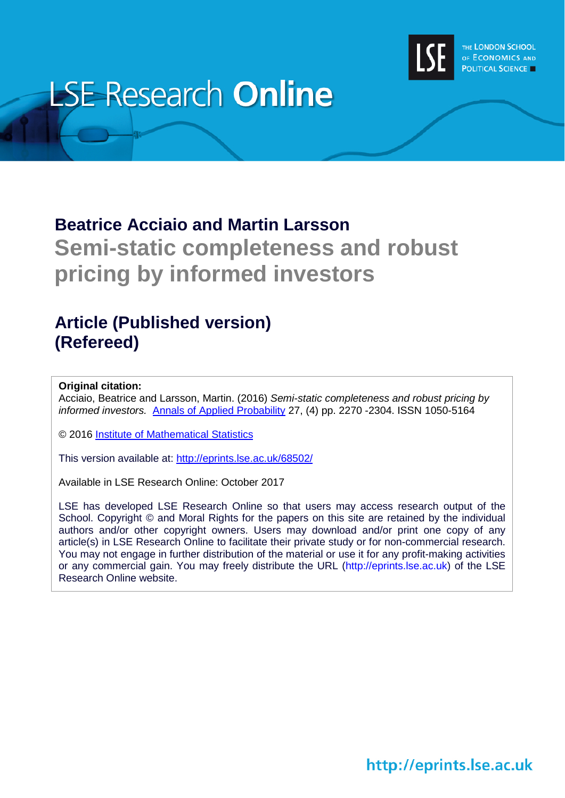

# **LSE Research Online**

# **Beatrice Acciaio and Martin Larsson Semi-static completeness and robust pricing by informed investors**

# **Article (Published version) (Refereed)**

# **Original citation:**

Acciaio, Beatrice and Larsson, Martin. (2016) *Semi-static completeness and robust pricing by informed investors.* [Annals of Applied Probability](http://www.imstat.org/aap/) 27, (4) pp. 2270 -2304. ISSN 1050-5164

© 2016 [Institute of Mathematical Statistics](http://imstat.org/en/index.html)

This version available at:<http://eprints.lse.ac.uk/68502/>

Available in LSE Research Online: October 2017

LSE has developed LSE Research Online so that users may access research output of the School. Copyright © and Moral Rights for the papers on this site are retained by the individual authors and/or other copyright owners. Users may download and/or print one copy of any article(s) in LSE Research Online to facilitate their private study or for non-commercial research. You may not engage in further distribution of the material or use it for any profit-making activities or any commercial gain. You may freely distribute the URL (http://eprints.lse.ac.uk) of the LSE Research Online website.

http://eprints.lse.ac.uk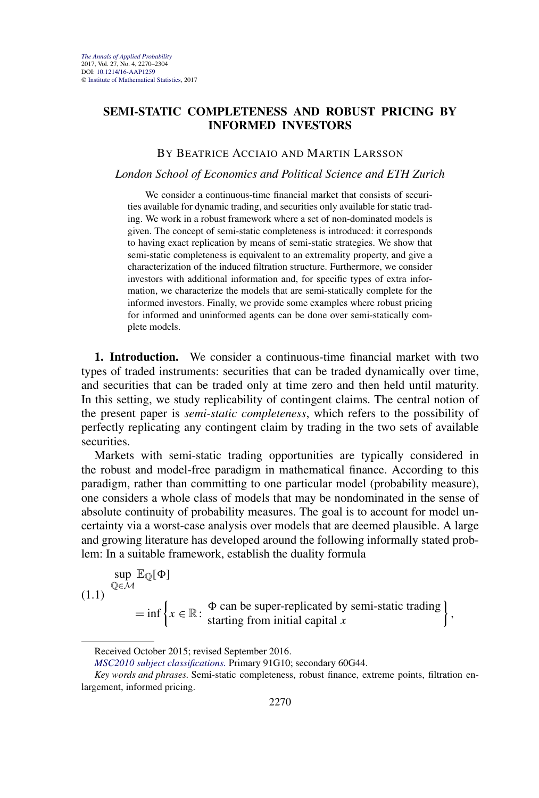## <span id="page-1-0"></span>**SEMI-STATIC COMPLETENESS AND ROBUST PRICING BY INFORMED INVESTORS**

#### BY BEATRICE ACCIAIO AND MARTIN LARSSON

#### *London School of Economics and Political Science and ETH Zurich*

We consider a continuous-time financial market that consists of securities available for dynamic trading, and securities only available for static trading. We work in a robust framework where a set of non-dominated models is given. The concept of semi-static completeness is introduced: it corresponds to having exact replication by means of semi-static strategies. We show that semi-static completeness is equivalent to an extremality property, and give a characterization of the induced filtration structure. Furthermore, we consider investors with additional information and, for specific types of extra information, we characterize the models that are semi-statically complete for the informed investors. Finally, we provide some examples where robust pricing for informed and uninformed agents can be done over semi-statically complete models.

**1. Introduction.** We consider a continuous-time financial market with two types of traded instruments: securities that can be traded dynamically over time, and securities that can be traded only at time zero and then held until maturity. In this setting, we study replicability of contingent claims. The central notion of the present paper is *semi-static completeness*, which refers to the possibility of perfectly replicating any contingent claim by trading in the two sets of available securities.

Markets with semi-static trading opportunities are typically considered in the robust and model-free paradigm in mathematical finance. According to this paradigm, rather than committing to one particular model (probability measure), one considers a whole class of models that may be nondominated in the sense of absolute continuity of probability measures. The goal is to account for model uncertainty via a worst-case analysis over models that are deemed plausible. A large and growing literature has developed around the following informally stated problem: In a suitable framework, establish the duality formula

$$
\sup_{\mathbb{Q}\in\mathcal{M}} \mathbb{E}_{\mathbb{Q}}[\Phi]
$$
\n
$$
(1.1) \quad \lim_{x \to \infty} \mathbb{E}_{\mathbb{Q}}[\Phi]
$$
\n
$$
= \inf \left\{ x \in \mathbb{R} : \begin{array}{c} \text{for } x \text{ is the same-neighbor-neighborized by semi-static trading} \\ \text{starting from initial capital } x \end{array} \right\},
$$

Received October 2015; revised September 2016.

*[MSC2010 subject classifications.](http://www.ams.org/mathscinet/msc/msc2010.html)* Primary 91G10; secondary 60G44.

*Key words and phrases.* Semi-static completeness, robust finance, extreme points, filtration enlargement, informed pricing.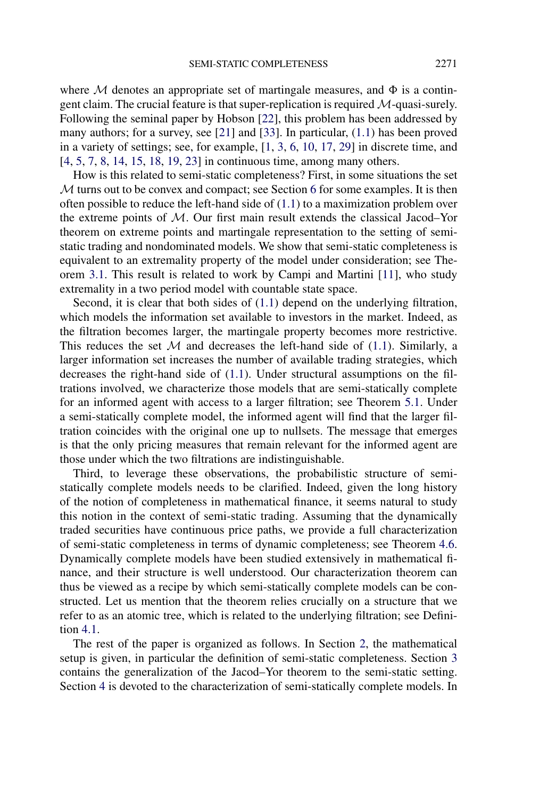where  $M$  denotes an appropriate set of martingale measures, and  $\Phi$  is a contingent claim. The crucial feature is that super-replication is required M-quasi-surely. Following the seminal paper by Hobson [\[22\]](#page-34-0), this problem has been addressed by many authors; for a survey, see [\[21\]](#page-34-0) and [\[33\]](#page-35-0). In particular, [\(1.1\)](#page-1-0) has been proved in a variety of settings; see, for example, [\[1,](#page-33-0) [3,](#page-33-0) [6,](#page-33-0) [10,](#page-34-0) [17,](#page-34-0) [29\]](#page-34-0) in discrete time, and [\[4,](#page-33-0) [5,](#page-33-0) [7,](#page-33-0) [8,](#page-34-0) [14,](#page-34-0) [15,](#page-34-0) [18,](#page-34-0) [19,](#page-34-0) [23\]](#page-34-0) in continuous time, among many others.

How is this related to semi-static completeness? First, in some situations the set M turns out to be convex and compact; see Section [6](#page-18-0) for some examples. It is then often possible to reduce the left-hand side of [\(1.1\)](#page-1-0) to a maximization problem over the extreme points of M. Our first main result extends the classical Jacod–Yor theorem on extreme points and martingale representation to the setting of semistatic trading and nondominated models. We show that semi-static completeness is equivalent to an extremality property of the model under consideration; see Theorem [3.1.](#page-5-0) This result is related to work by Campi and Martini [\[11\]](#page-34-0), who study extremality in a two period model with countable state space.

Second, it is clear that both sides of  $(1.1)$  depend on the underlying filtration, which models the information set available to investors in the market. Indeed, as the filtration becomes larger, the martingale property becomes more restrictive. This reduces the set  $M$  and decreases the left-hand side of [\(1.1\)](#page-1-0). Similarly, a larger information set increases the number of available trading strategies, which decreases the right-hand side of [\(1.1\)](#page-1-0). Under structural assumptions on the filtrations involved, we characterize those models that are semi-statically complete for an informed agent with access to a larger filtration; see Theorem [5.1.](#page-14-0) Under a semi-statically complete model, the informed agent will find that the larger filtration coincides with the original one up to nullsets. The message that emerges is that the only pricing measures that remain relevant for the informed agent are those under which the two filtrations are indistinguishable.

Third, to leverage these observations, the probabilistic structure of semistatically complete models needs to be clarified. Indeed, given the long history of the notion of completeness in mathematical finance, it seems natural to study this notion in the context of semi-static trading. Assuming that the dynamically traded securities have continuous price paths, we provide a full characterization of semi-static completeness in terms of dynamic completeness; see Theorem [4.6.](#page-10-0) Dynamically complete models have been studied extensively in mathematical finance, and their structure is well understood. Our characterization theorem can thus be viewed as a recipe by which semi-statically complete models can be constructed. Let us mention that the theorem relies crucially on a structure that we refer to as an atomic tree, which is related to the underlying filtration; see Definition [4.1.](#page-8-0)

The rest of the paper is organized as follows. In Section [2,](#page-3-0) the mathematical setup is given, in particular the definition of semi-static completeness. Section [3](#page-5-0) contains the generalization of the Jacod–Yor theorem to the semi-static setting. Section [4](#page-8-0) is devoted to the characterization of semi-statically complete models. In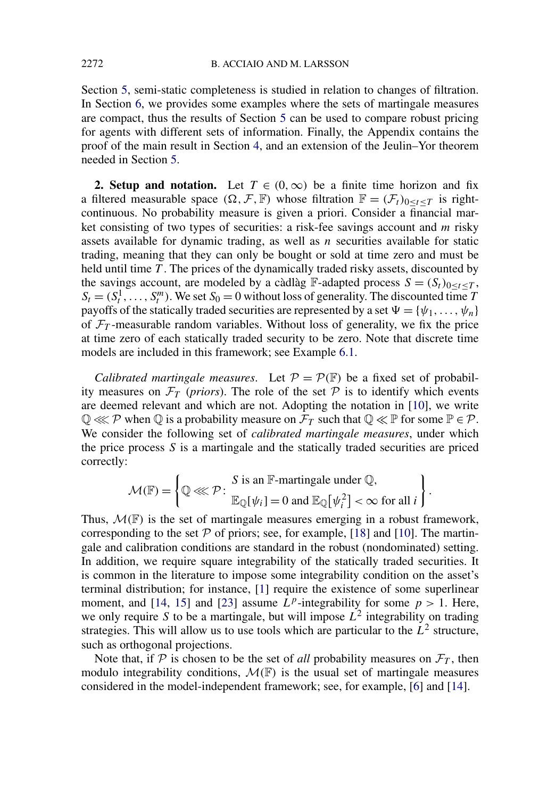<span id="page-3-0"></span>Section [5,](#page-14-0) semi-static completeness is studied in relation to changes of filtration. In Section [6,](#page-18-0) we provides some examples where the sets of martingale measures are compact, thus the results of Section [5](#page-14-0) can be used to compare robust pricing for agents with different sets of information. Finally, the Appendix contains the proof of the main result in Section [4,](#page-8-0) and an extension of the Jeulin–Yor theorem needed in Section [5.](#page-14-0)

**2. Setup and notation.** Let  $T \in (0, \infty)$  be a finite time horizon and fix a filtered measurable space  $(\Omega, \mathcal{F}, \mathbb{F})$  whose filtration  $\mathbb{F} = (\mathcal{F}_t)_{0 \le t \le T}$  is rightcontinuous. No probability measure is given a priori. Consider a financial market consisting of two types of securities: a risk-fee savings account and *m* risky assets available for dynamic trading, as well as *n* securities available for static trading, meaning that they can only be bought or sold at time zero and must be held until time *T* . The prices of the dynamically traded risky assets, discounted by the savings account, are modeled by a càdlàg F-adapted process  $S = (S_t)_{0 \le t \le T}$ ,  $S_t = (S_t^1, \ldots, S_t^m)$ . We set  $S_0 = 0$  without loss of generality. The discounted time *T* payoffs of the statically traded securities are represented by a set  $\Psi = {\psi_1, \dots, \psi_n}$ of  $\mathcal{F}_T$ -measurable random variables. Without loss of generality, we fix the price at time zero of each statically traded security to be zero. Note that discrete time models are included in this framework; see Example [6.1.](#page-18-0)

*Calibrated martingale measures.* Let  $\mathcal{P} = \mathcal{P}(\mathbb{F})$  be a fixed set of probability measures on  $\mathcal{F}_T$  (*priors*). The role of the set  $\mathcal P$  is to identify which events are deemed relevant and which are not. Adopting the notation in [\[10\]](#page-34-0), we write  $\mathbb{Q} \ll \mathcal{P}$  when  $\mathbb{Q}$  is a probability measure on  $\mathcal{F}_T$  such that  $\mathbb{Q} \ll \mathbb{P}$  for some  $\mathbb{P} \in \mathcal{P}$ . We consider the following set of *calibrated martingale measures*, under which the price process *S* is a martingale and the statically traded securities are priced correctly:

$$
\mathcal{M}(\mathbb{F}) = \left\{ \mathbb{Q} \ll \mathcal{P} \colon \frac{S \text{ is an } \mathbb{F}\text{-martingale under } \mathbb{Q},}{\mathbb{E}_{\mathbb{Q}}[\psi_i] = 0 \text{ and } \mathbb{E}_{\mathbb{Q}}[\psi_i^2] < \infty \text{ for all } i \right\}.
$$

Thus,  $\mathcal{M}(\mathbb{F})$  is the set of martingale measures emerging in a robust framework, corresponding to the set  $P$  of priors; see, for example, [\[18\]](#page-34-0) and [\[10\]](#page-34-0). The martingale and calibration conditions are standard in the robust (nondominated) setting. In addition, we require square integrability of the statically traded securities. It is common in the literature to impose some integrability condition on the asset's terminal distribution; for instance, [\[1\]](#page-33-0) require the existence of some superlinear moment, and [\[14,](#page-34-0) [15\]](#page-34-0) and [\[23\]](#page-34-0) assume  $L^p$ -integrability for some  $p > 1$ . Here, we only require *S* to be a martingale, but will impose  $L^2$  integrability on trading strategies. This will allow us to use tools which are particular to the  $L^2$  structure, such as orthogonal projections.

Note that, if  $P$  is chosen to be the set of *all* probability measures on  $\mathcal{F}_T$ , then modulo integrability conditions,  $\mathcal{M}(\mathbb{F})$  is the usual set of martingale measures considered in the model-independent framework; see, for example, [\[6\]](#page-33-0) and [\[14\]](#page-34-0).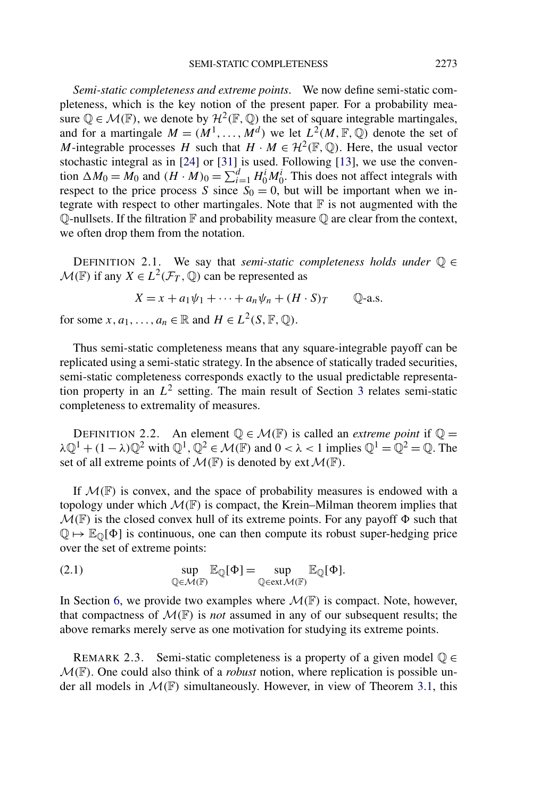<span id="page-4-0"></span>*Semi-static completeness and extreme points*. We now define semi-static completeness, which is the key notion of the present paper. For a probability measure  $\mathbb{Q} \in \mathcal{M}(\mathbb{F})$ , we denote by  $\mathcal{H}^2(\mathbb{F}, \mathbb{Q})$  the set of square integrable martingales, and for a martingale  $M = (M^1, \ldots, M^d)$  we let  $L^2(M, \mathbb{F}, \mathbb{Q})$  denote the set of *M*-integrable processes *H* such that  $H \cdot M \in \mathcal{H}^2(\mathbb{F}, \mathbb{Q})$ . Here, the usual vector stochastic integral as in [\[24\]](#page-34-0) or [\[31\]](#page-35-0) is used. Following [\[13\]](#page-34-0), we use the convention  $\Delta M_0 = M_0$  and  $(H \cdot M)_0 = \sum_{i=1}^d H_0^i M_0^i$ . This does not affect integrals with respect to the price process *S* since  $S_0 = 0$ , but will be important when we integrate with respect to other martingales. Note that  $\mathbb F$  is not augmented with the  $\mathbb Q$ -nullsets. If the filtration  $\mathbb F$  and probability measure  $\mathbb Q$  are clear from the context, we often drop them from the notation.

DEFINITION 2.1. We say that *semi-static completeness holds under*  $\mathbb{Q} \in$  $\mathcal{M}(\mathbb{F})$  if any  $X \in L^2(\mathcal{F}_T, \mathbb{Q})$  can be represented as

$$
X = x + a_1 \psi_1 + \dots + a_n \psi_n + (H \cdot S)_T
$$
 Q-a.s.

for some  $x, a_1, \ldots, a_n \in \mathbb{R}$  and  $H \in L^2(S, \mathbb{F}, \mathbb{Q})$ .

Thus semi-static completeness means that any square-integrable payoff can be replicated using a semi-static strategy. In the absence of statically traded securities, semi-static completeness corresponds exactly to the usual predictable representation property in an  $L^2$  setting. The main result of Section [3](#page-5-0) relates semi-static completeness to extremality of measures.

DEFINITION 2.2. An element  $\mathbb{Q} \in \mathcal{M}(\mathbb{F})$  is called an *extreme point* if  $\mathbb{Q} =$  $\lambda \mathbb{Q}^1 + (1 - \lambda) \mathbb{Q}^2$  with  $\mathbb{Q}^1, \mathbb{Q}^2 \in \mathcal{M}(\mathbb{F})$  and  $0 < \lambda < 1$  implies  $\mathbb{Q}^1 = \mathbb{Q}^2 = \mathbb{Q}$ . The set of all extreme points of  $\mathcal{M}(\mathbb{F})$  is denoted by ext  $\mathcal{M}(\mathbb{F})$ .

If  $\mathcal{M}(\mathbb{F})$  is convex, and the space of probability measures is endowed with a topology under which  $\mathcal{M}(\mathbb{F})$  is compact, the Krein–Milman theorem implies that  $M(F)$  is the closed convex hull of its extreme points. For any payoff  $\Phi$  such that  $\mathbb{Q} \mapsto \mathbb{E}_{\mathbb{Q}}[\Phi]$  is continuous, one can then compute its robust super-hedging price over the set of extreme points:

(2.1) 
$$
\sup_{\mathbb{Q}\in\mathcal{M}(\mathbb{F})} \mathbb{E}_{\mathbb{Q}}[\Phi] = \sup_{\mathbb{Q}\in\text{ext}\mathcal{M}(\mathbb{F})} \mathbb{E}_{\mathbb{Q}}[\Phi].
$$

In Section [6,](#page-18-0) we provide two examples where  $\mathcal{M}(\mathbb{F})$  is compact. Note, however, that compactness of  $\mathcal{M}(\mathbb{F})$  is *not* assumed in any of our subsequent results; the above remarks merely serve as one motivation for studying its extreme points.

REMARK 2.3. Semi-static completeness is a property of a given model  $\mathbb{Q} \in$  $M(F)$ . One could also think of a *robust* notion, where replication is possible under all models in  $\mathcal{M}(\mathbb{F})$  simultaneously. However, in view of Theorem [3.1,](#page-5-0) this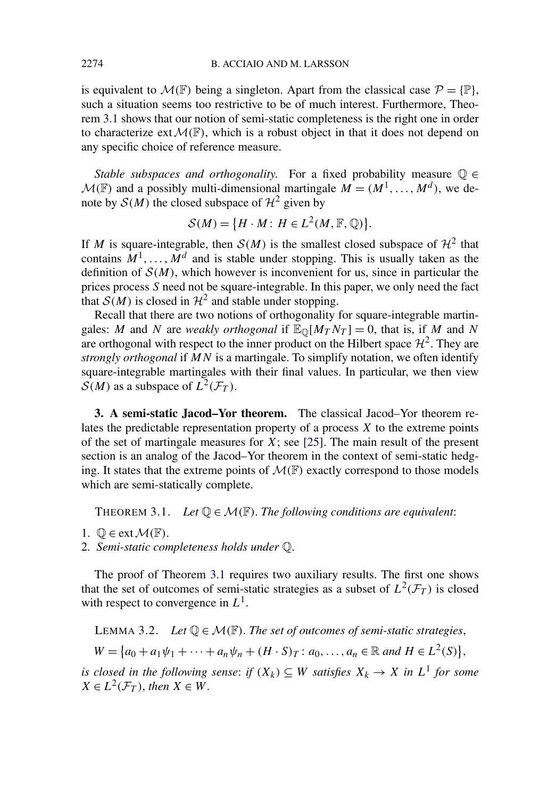<span id="page-5-0"></span>is equivalent to  $\mathcal{M}(\mathbb{F})$  being a singleton. Apart from the classical case  $\mathcal{P} = \{\mathbb{P}\},\$ such a situation seems too restrictive to be of much interest. Furthermore, Theorem 3.1 shows that our notion of semi-static completeness is the right one in order to characterize ext  $\mathcal{M}(\mathbb{F})$ , which is a robust object in that it does not depend on any specific choice of reference measure.

*Stable subspaces and orthogonality.* For a fixed probability measure  $\mathbb{Q} \in$  $\mathcal{M}(\mathbb{F})$  and a possibly multi-dimensional martingale  $M = (M^1, \ldots, M^d)$ , we denote by  $S(M)$  the closed subspace of  $\mathcal{H}^2$  given by

$$
\mathcal{S}(M) = \{H \cdot M : H \in L^2(M, \mathbb{F}, \mathbb{Q})\}.
$$

If *M* is square-integrable, then  $S(M)$  is the smallest closed subspace of  $H^2$  that contains  $M^1, \ldots, M^d$  and is stable under stopping. This is usually taken as the definition of  $S(M)$ , which however is inconvenient for us, since in particular the prices process *S* need not be square-integrable. In this paper, we only need the fact that  $\mathcal{S}(M)$  is closed in  $\mathcal{H}^2$  and stable under stopping.

Recall that there are two notions of orthogonality for square-integrable martingales: *M* and *N* are *weakly orthogonal* if  $\mathbb{E}_{\mathbb{O}}[M_T N_T] = 0$ , that is, if *M* and *N* are orthogonal with respect to the inner product on the Hilbert space  $\mathcal{H}^2$ . They are *strongly orthogonal* if *MN* is a martingale. To simplify notation, we often identify square-integrable martingales with their final values. In particular, we then view  $\mathcal{S}(M)$  as a subspace of  $\mathcal{L}^2(\mathcal{F}_T)$ .

**3. A semi-static Jacod–Yor theorem.** The classical Jacod–Yor theorem relates the predictable representation property of a process *X* to the extreme points of the set of martingale measures for  $\hat{X}$ ; see [\[25\]](#page-34-0). The main result of the present section is an analog of the Jacod–Yor theorem in the context of semi-static hedging. It states that the extreme points of  $\mathcal{M}(\mathbb{F})$  exactly correspond to those models which are semi-statically complete.

THEOREM 3.1. *Let*  $\mathbb{Q} \in \mathcal{M}(\mathbb{F})$ . *The following conditions are equivalent*:

- 1.  $\mathbb{Q} \in \text{ext}\,\mathcal{M}(\mathbb{F})$ .
- 2. *Semi-static completeness holds under* Q.

The proof of Theorem 3.1 requires two auxiliary results. The first one shows that the set of outcomes of semi-static strategies as a subset of  $L^2(\mathcal{F}_T)$  is closed with respect to convergence in *L*1.

LEMMA 3.2. Let 
$$
\mathbb{Q} \in \mathcal{M}(\mathbb{F})
$$
. The set of outcomes of semi-static strategies,

 $W = \{a_0 + a_1\psi_1 + \cdots + a_n\psi_n + (H \cdot S)_T : a_0, \ldots, a_n \in \mathbb{R} \text{ and } H \in L^2(S)\},\$ 

*is closed in the following sense: if*  $(X_k) \subseteq W$  *satisfies*  $X_k \to X$  *in*  $L^1$  *for some*  $X \in L^2(\mathcal{F}_T)$ , *then*  $X \in W$ .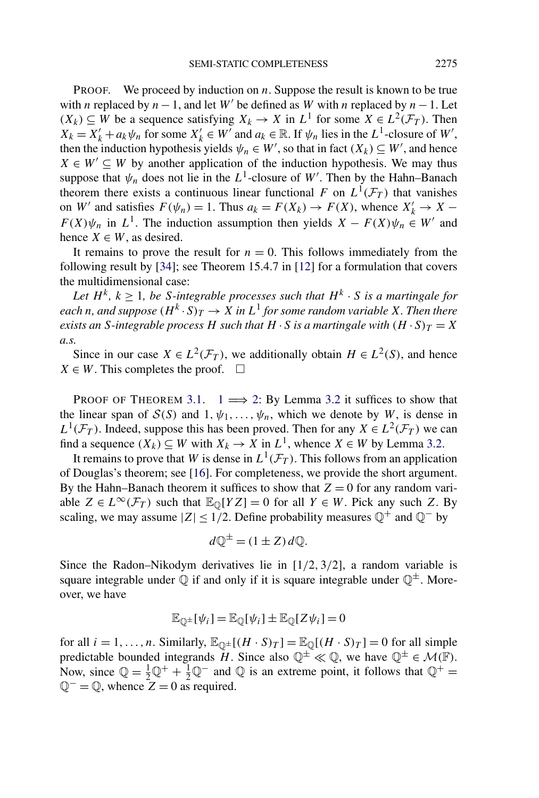PROOF. We proceed by induction on *n*. Suppose the result is known to be true with *n* replaced by  $n-1$ , and let *W*<sup>'</sup> be defined as *W* with *n* replaced by  $n-1$ . Let *(X<sub>k</sub>)* ⊆ *W* be a sequence satisfying  $X_k \to X$  in  $L^1$  for some  $X \in L^2(\mathcal{F}_T)$ . Then  $X_k = X'_k + a_k \psi_n$  for some  $X'_k \in W'$  and  $a_k \in \mathbb{R}$ . If  $\psi_n$  lies in the *L*<sup>1</sup>-closure of *W'*, then the induction hypothesis yields  $\psi_n \in W'$ , so that in fact  $(X_k) \subseteq W'$ , and hence  $X \in W' \subseteq W$  by another application of the induction hypothesis. We may thus suppose that  $\psi_n$  does not lie in the  $L^1$ -closure of W'. Then by the Hahn–Banach theorem there exists a continuous linear functional *F* on  $L^1(\mathcal{F}_T)$  that vanishes on *W'* and satisfies  $F(\psi_n) = 1$ . Thus  $a_k = F(X_k) \rightarrow F(X)$ , whence  $X'_k \rightarrow X$  – *F(X)* $\psi_n$  in *L*<sup>1</sup>. The induction assumption then yields  $X - F(X)\psi_n \in W'$  and hence  $X \in W$ , as desired.

It remains to prove the result for  $n = 0$ . This follows immediately from the following result by [\[34\]](#page-35-0); see Theorem 15.4.7 in [\[12\]](#page-34-0) for a formulation that covers the multidimensional case:

*Let*  $H^k$ *,*  $k \geq 1$ *, be S-integrable processes such that*  $H^k \cdot S$  *is a martingale for each n*, and suppose  $(H^k \cdot S)_T \to X$  *in*  $L^1$  *for some random variable X. Then there exists an S*-integrable process *H such that*  $H \cdot S$  *is a martingale with*  $(H \cdot S)T = X$ *a.s.*

Since in our case  $X \in L^2(\mathcal{F}_T)$ , we additionally obtain  $H \in L^2(S)$ , and hence  $X \in W$ . This completes the proof.  $\square$ 

PROOF OF THEOREM [3.1.](#page-5-0)  $1 \implies 2$  $1 \implies 2$ : By Lemma [3.2](#page-5-0) it suffices to show that the linear span of  $S(S)$  and  $1, \psi_1, \ldots, \psi_n$ , which we denote by *W*, is dense in  $L^1(\mathcal{F}_T)$ . Indeed, suppose this has been proved. Then for any  $X \in L^2(\mathcal{F}_T)$  we can find a sequence  $(X_k) \subseteq W$  with  $X_k \to X$  in  $L^1$ , whence  $X \in W$  by Lemma [3.2.](#page-5-0)

It remains to prove that *W* is dense in  $L^1(\mathcal{F}_T)$ . This follows from an application of Douglas's theorem; see [\[16\]](#page-34-0). For completeness, we provide the short argument. By the Hahn–Banach theorem it suffices to show that  $Z = 0$  for any random variable  $Z \in L^{\infty}(\mathcal{F}_T)$  such that  $\mathbb{E}_{\mathbb{O}}[YZ] = 0$  for all  $Y \in W$ . Pick any such *Z*. By scaling, we may assume  $|Z| \leq 1/2$ . Define probability measures  $\mathbb{Q}^+$  and  $\mathbb{Q}^-$  by

$$
d\mathbb{Q}^{\pm} = (1 \pm Z) d\mathbb{Q}.
$$

Since the Radon–Nikodym derivatives lie in [1*/*2*,* 3*/*2], a random variable is square integrable under  $\mathbb Q$  if and only if it is square integrable under  $\mathbb Q^{\pm}$ . Moreover, we have

$$
\mathbb{E}_{\mathbb{Q}^{\pm}}[\psi_i] = \mathbb{E}_{\mathbb{Q}}[\psi_i] \pm \mathbb{E}_{\mathbb{Q}}[Z\psi_i] = 0
$$

for all  $i = 1, ..., n$ . Similarly,  $\mathbb{E}_{\mathbb{Q}^{\pm}}[(H \cdot S)_T] = \mathbb{E}_{\mathbb{Q}}[(H \cdot S)_T] = 0$  for all simple predictable bounded integrands *H*. Since also  $\mathbb{Q}^{\pm} \ll \mathbb{Q}$ , we have  $\mathbb{Q}^{\pm} \in \mathcal{M}(\mathbb{F})$ . Now, since  $\mathbb{Q} = \frac{1}{2}\mathbb{Q}^+ + \frac{1}{2}\mathbb{Q}^-$  and  $\mathbb{Q}$  is an extreme point, it follows that  $\mathbb{Q}^+$  $\mathbb{Q}^- = \mathbb{Q}$ , whence  $Z = 0$  as required.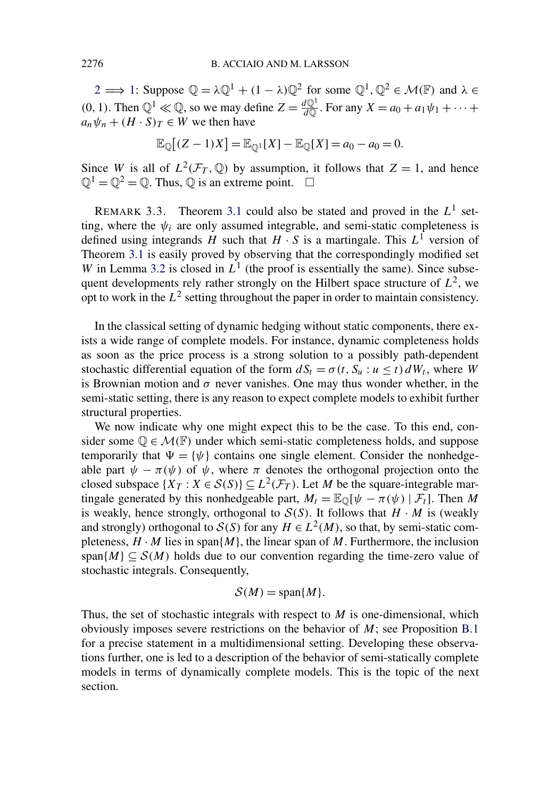[2](#page-5-0)  $\implies$  [1:](#page-5-0) Suppose  $\mathbb{Q} = \lambda \mathbb{Q}^1 + (1 - \lambda) \mathbb{Q}^2$  for some  $\mathbb{Q}^1, \mathbb{Q}^2 \in \mathcal{M}(\mathbb{F})$  and  $\lambda \in$  $(0, 1)$ . Then  $\mathbb{Q}^1 \ll \mathbb{Q}$ , so we may define  $Z = \frac{d\mathbb{Q}^1}{d\mathbb{Q}}$ . For any  $X = a_0 + a_1\psi_1 + \cdots$  $a_n \psi_n + (H \cdot S)_T \in W$  we then have

$$
\mathbb{E}_{\mathbb{Q}}[(Z-1)X] = \mathbb{E}_{\mathbb{Q}^1}[X] - \mathbb{E}_{\mathbb{Q}}[X] = a_0 - a_0 = 0.
$$

Since *W* is all of  $L^2(\mathcal{F}_T, \mathbb{Q})$  by assumption, it follows that  $Z = 1$ , and hence  $\mathbb{O}^1 = \mathbb{O}^2 = \mathbb{O}$ . Thus,  $\mathbb O$  is an extreme point.  $\Box$ 

REMARK 3.3. Theorem [3.1](#page-5-0) could also be stated and proved in the  $L^1$  setting, where the  $\psi_i$  are only assumed integrable, and semi-static completeness is defined using integrands *H* such that  $H \cdot S$  is a martingale. This  $L^{\hat{1}}$  version of Theorem [3.1](#page-5-0) is easily proved by observing that the correspondingly modified set *W* in Lemma [3.2](#page-5-0) is closed in  $L^1$  (the proof is essentially the same). Since subsequent developments rely rather strongly on the Hilbert space structure of  $L^2$ , we opt to work in the  $L^2$  setting throughout the paper in order to maintain consistency.

In the classical setting of dynamic hedging without static components, there exists a wide range of complete models. For instance, dynamic completeness holds as soon as the price process is a strong solution to a possibly path-dependent stochastic differential equation of the form  $dS_t = \sigma(t, S_u : u \le t) dW_t$ , where *W* is Brownian motion and  $\sigma$  never vanishes. One may thus wonder whether, in the semi-static setting, there is any reason to expect complete models to exhibit further structural properties.

We now indicate why one might expect this to be the case. To this end, consider some  $\mathbb{Q} \in \mathcal{M}(\mathbb{F})$  under which semi-static completeness holds, and suppose temporarily that  $\Psi = {\psi}$  contains one single element. Consider the nonhedgeable part  $\psi - \pi(\psi)$  of  $\psi$ , where  $\pi$  denotes the orthogonal projection onto the closed subspace  $\{X_T : X \in \mathcal{S}(S)\} \subseteq L^2(\mathcal{F}_T)$ . Let *M* be the square-integrable martingale generated by this nonhedgeable part,  $M_t = \mathbb{E}_{\mathbb{Q}}[\psi - \pi(\psi) | \mathcal{F}_t]$ . Then M is weakly, hence strongly, orthogonal to  $S(S)$ . It follows that  $H \cdot M$  is (weakly and strongly) orthogonal to  $S(S)$  for any  $H \in L^2(M)$ , so that, by semi-static completeness,  $H \cdot M$  lies in span $\{M\}$ , the linear span of M. Furthermore, the inclusion span $\{M\} \subseteq \mathcal{S}(M)$  holds due to our convention regarding the time-zero value of stochastic integrals. Consequently,

$$
\mathcal{S}(M) = \text{span}\{M\}.
$$

Thus, the set of stochastic integrals with respect to *M* is one-dimensional, which obviously imposes severe restrictions on the behavior of *M*; see Proposition [B.1](#page-24-0) for a precise statement in a multidimensional setting. Developing these observations further, one is led to a description of the behavior of semi-statically complete models in terms of dynamically complete models. This is the topic of the next section.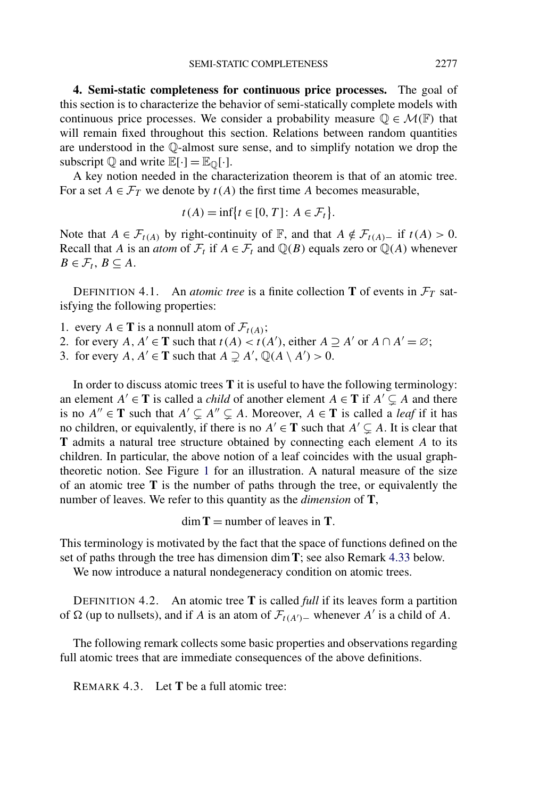<span id="page-8-0"></span>**4. Semi-static completeness for continuous price processes.** The goal of this section is to characterize the behavior of semi-statically complete models with continuous price processes. We consider a probability measure  $\mathbb{Q} \in \mathcal{M}(\mathbb{F})$  that will remain fixed throughout this section. Relations between random quantities are understood in the Q-almost sure sense, and to simplify notation we drop the subscript  $\mathbb{Q}$  and write  $\mathbb{E}[\cdot] = \mathbb{E}_{\mathbb{Q}}[\cdot]$ .

A key notion needed in the characterization theorem is that of an atomic tree. For a set  $A \in \mathcal{F}_T$  we denote by  $t(A)$  the first time A becomes measurable,

$$
t(A) = \inf\{t \in [0, T]: A \in \mathcal{F}_t\}.
$$

Note that *A* ∈  $\mathcal{F}_{t(A)}$  by right-continuity of **F**, and that *A* ∉  $\mathcal{F}_{t(A)-}$  if *t*(*A*) > 0. Recall that *A* is an *atom* of  $\mathcal{F}_t$  if  $A \in \mathcal{F}_t$  and  $\mathbb{Q}(B)$  equals zero or  $\mathbb{Q}(A)$  whenever  $B \in \mathcal{F}_t, B \subseteq A$ .

DEFINITION 4.1. An *atomic tree* is a finite collection **T** of events in  $\mathcal{F}_T$  satisfying the following properties:

- 1. every  $A \in \mathbf{T}$  is a nonnull atom of  $\mathcal{F}_{t(A)}$ ;
- 2. for every *A*,  $A' \in \mathbf{T}$  such that  $t(A) < t(A')$ , either  $A \supseteq A'$  or  $A \cap A' = \emptyset$ ;
- 3. for every  $A, A' \in \mathbf{T}$  such that  $A \supsetneq A', \mathbb{Q}(A \setminus A') > 0$ .

In order to discuss atomic trees **T** it is useful to have the following terminology: an element  $A' \in T$  is called a *child* of another element  $A \in T$  if  $A' \subsetneq A$  and there is no  $A'' \in \mathbf{T}$  such that  $A' \subsetneq A'' \subsetneq A$ . Moreover,  $A \in \mathbf{T}$  is called a *leaf* if it has no children, or equivalently, if there is no  $A' \in \mathbf{T}$  such that  $A' \subseteq A$ . It is clear that **T** admits a natural tree structure obtained by connecting each element *A* to its children. In particular, the above notion of a leaf coincides with the usual graphtheoretic notion. See Figure [1](#page-9-0) for an illustration. A natural measure of the size of an atomic tree **T** is the number of paths through the tree, or equivalently the number of leaves. We refer to this quantity as the *dimension* of **T**,

$$
\dim T = \text{number of leaves in } T.
$$

This terminology is motivated by the fact that the space of functions defined on the set of paths through the tree has dimension dim**T**; see also Remark 4.33 below.

We now introduce a natural nondegeneracy condition on atomic trees.

DEFINITION 4.2. An atomic tree **T** is called *full* if its leaves form a partition of  $\Omega$  (up to nullsets), and if *A* is an atom of  $\mathcal{F}_{t(A')-}$  whenever *A'* is a child of *A*.

The following remark collects some basic properties and observations regarding full atomic trees that are immediate consequences of the above definitions.

REMARK 4.3. Let **T** be a full atomic tree: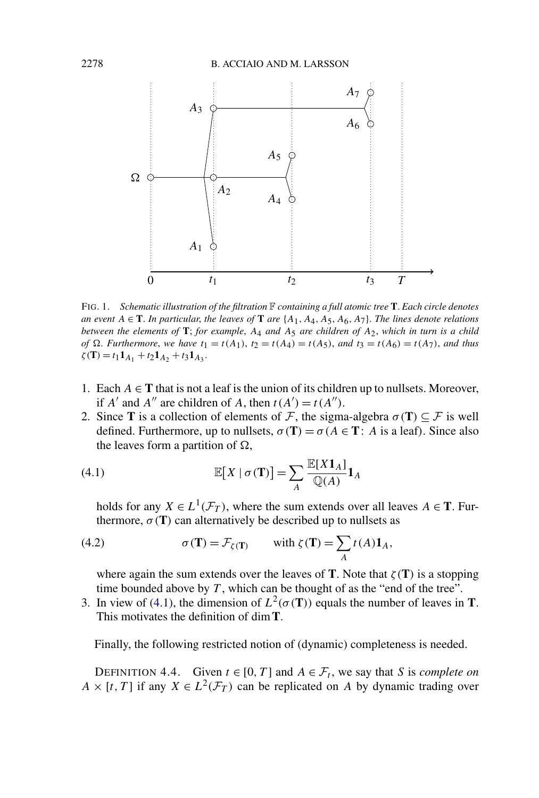<span id="page-9-0"></span>

FIG. 1. *Schematic illustration of the filtration* F *containing a full atomic tree* **T**. *Each circle denotes an event A* ∈ **T**. *In particular*, *the leaves of* **T** *are* {*A*1*, A*4*, A*5*, A*6*, A*7}. *The lines denote relations between the elements of* **T**; *for example*, *A*4 *and A*5 *are children of A*2, *which in turn is a child of*  $\Omega$ *. Furthermore, we have*  $t_1 = t(A_1)$ *,*  $t_2 = t(A_4) = t(A_5)$ *, and*  $t_3 = t(A_6) = t(A_7)$ *, and thus*  $\zeta(\mathbf{T}) = t_1 \mathbf{1}_{A_1} + t_2 \mathbf{1}_{A_2} + t_3 \mathbf{1}_{A_3}.$ 

- 1. Each  $A \in \mathbf{T}$  that is not a leaf is the union of its children up to nullsets. Moreover, if *A'* and *A''* are children of *A*, then  $t(A') = t(A'')$ .
- 2. Since **T** is a collection of elements of F, the sigma-algebra  $\sigma(T) \subseteq F$  is well defined. Furthermore, up to nullsets,  $\sigma(T) = \sigma(A \in T: A \text{ is a leaf})$ . Since also the leaves form a partition of  $\Omega$ ,

(4.1) 
$$
\mathbb{E}[X | \sigma(\mathbf{T})] = \sum_{A} \frac{\mathbb{E}[X \mathbf{1}_A]}{\mathbb{Q}(A)} \mathbf{1}_A
$$

holds for any  $X \in L^1(\mathcal{F}_T)$ , where the sum extends over all leaves  $A \in \mathbf{T}$ . Furthermore,  $\sigma(T)$  can alternatively be described up to nullsets as

(4.2) 
$$
\sigma(\mathbf{T}) = \mathcal{F}_{\zeta(\mathbf{T})} \quad \text{with } \zeta(\mathbf{T}) = \sum_{A} t(A) \mathbf{1}_{A},
$$

where again the sum extends over the leaves of **T**. Note that  $\zeta(T)$  is a stopping time bounded above by *T* , which can be thought of as the "end of the tree".

3. In view of (4.1), the dimension of  $L^2(\sigma(T))$  equals the number of leaves in **T**. This motivates the definition of dim**T**.

Finally, the following restricted notion of (dynamic) completeness is needed.

DEFINITION 4.4. Given  $t \in [0, T]$  and  $A \in \mathcal{F}_t$ , we say that *S* is *complete on*  $A \times [t, T]$  if any  $X \in L^2(\mathcal{F}_T)$  can be replicated on *A* by dynamic trading over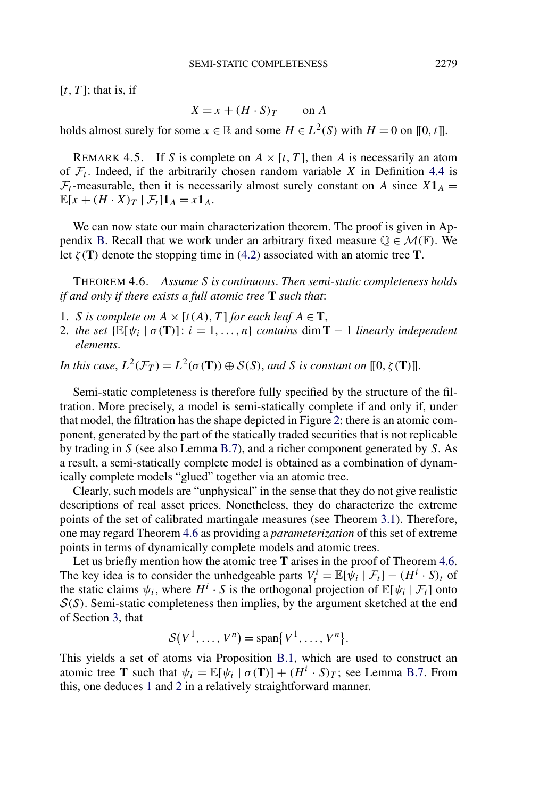<span id="page-10-0"></span>[*t,T* ]; that is, if

$$
X = x + (H \cdot S)_T \qquad \text{on } A
$$

holds almost surely for some  $x \in \mathbb{R}$  and some  $H \in L^2(S)$  with  $H = 0$  on [[0*, t*]].

REMARK 4.5. If *S* is complete on  $A \times [t, T]$ , then *A* is necessarily an atom of  $\mathcal{F}_t$ . Indeed, if the arbitrarily chosen random variable *X* in Definition [4.4](#page-9-0) is  $\mathcal{F}_t$ -measurable, then it is necessarily almost surely constant on *A* since  $X\mathbf{1}_A =$  $\mathbb{E}[x + (H \cdot X)T \mid \mathcal{F}_t] \mathbf{1}_A = x \mathbf{1}_A.$ 

We can now state our main characterization theorem. The proof is given in Ap-pendix [B.](#page-23-0) Recall that we work under an arbitrary fixed measure  $\mathbb{Q} \in \mathcal{M}(\mathbb{F})$ . We let  $\zeta(T)$  denote the stopping time in [\(4.2\)](#page-9-0) associated with an atomic tree T.

THEOREM 4.6. *Assume S is continuous*. *Then semi-static completeness holds if and only if there exists a full atomic tree* **T** *such that*:

- 1. *S* is complete on  $A \times [t(A), T]$  for each leaf  $A \in T$ ,
- 2. *the set*  $\{\mathbb{E}[\psi_i \mid \sigma(\mathbf{T})]: i = 1, ..., n\}$  *contains* dim **T** − 1 *linearly independent elements*.
- *In this case,*  $L^2(\mathcal{F}_T) = L^2(\sigma(\mathbf{T})) \oplus \mathcal{S}(S)$ , and *S is constant on* [[0*,ζ(***T**)]].

Semi-static completeness is therefore fully specified by the structure of the filtration. More precisely, a model is semi-statically complete if and only if, under that model, the filtration has the shape depicted in Figure [2:](#page-11-0) there is an atomic component, generated by the part of the statically traded securities that is not replicable by trading in *S* (see also Lemma [B.7\)](#page-29-0), and a richer component generated by *S*. As a result, a semi-statically complete model is obtained as a combination of dynamically complete models "glued" together via an atomic tree.

Clearly, such models are "unphysical" in the sense that they do not give realistic descriptions of real asset prices. Nonetheless, they do characterize the extreme points of the set of calibrated martingale measures (see Theorem [3.1\)](#page-5-0). Therefore, one may regard Theorem 4.6 as providing a *parameterization* of this set of extreme points in terms of dynamically complete models and atomic trees.

Let us briefly mention how the atomic tree **T** arises in the proof of Theorem 4.6. The key idea is to consider the unhedgeable parts  $V_t^i = \mathbb{E}[\psi_i | \mathcal{F}_t] - (H^i \cdot S)_t$  of the static claims  $\psi_i$ , where  $H^i \cdot S$  is the orthogonal projection of  $\mathbb{E}[\psi_i | \mathcal{F}_t]$  onto  $S(S)$ . Semi-static completeness then implies, by the argument sketched at the end of Section [3,](#page-5-0) that

$$
\mathcal{S}(V^1,\ldots,V^n)=\mathrm{span}\{V^1,\ldots,V^n\}.
$$

This yields a set of atoms via Proposition [B.1,](#page-24-0) which are used to construct an atomic tree **T** such that  $\psi_i = \mathbb{E}[\psi_i \mid \sigma(\mathbf{T})] + (H^i \cdot S)_T$ ; see Lemma [B.7.](#page-29-0) From this, one deduces 1 and 2 in a relatively straightforward manner.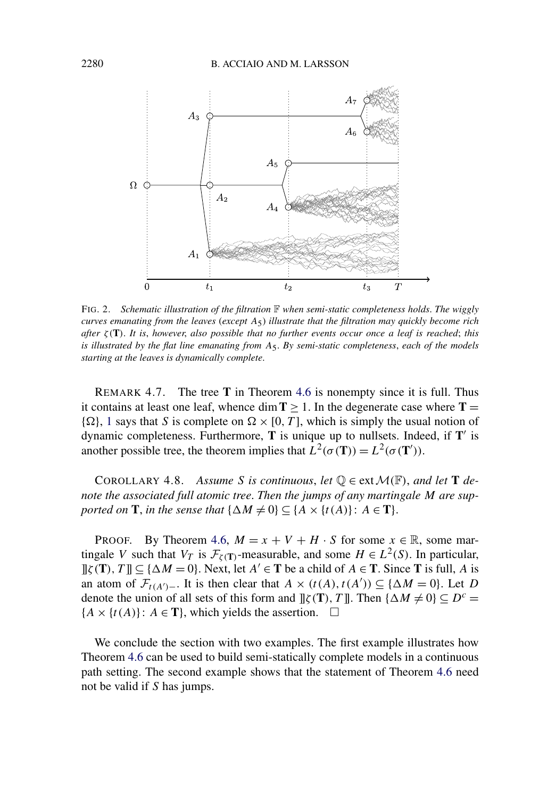<span id="page-11-0"></span>

FIG. 2. *Schematic illustration of the filtration* F *when semi-static completeness holds*. *The wiggly curves emanating from the leaves* (*except A*5) *illustrate that the filtration may quickly become rich after ζ (***T***)*. *It is*, *however*, *also possible that no further events occur once a leaf is reached*; *this is illustrated by the flat line emanating from A*5. *By semi-static completeness*, *each of the models starting at the leaves is dynamically complete*.

REMARK 4.7. The tree **T** in Theorem [4.6](#page-10-0) is nonempty since it is full. Thus it contains at least one leaf, whence dim  $T \ge 1$ . In the degenerate case where  $T =$  $\{\Omega\}$ , [1](#page-10-0) says that *S* is complete on  $\Omega \times [0, T]$ , which is simply the usual notion of dynamic completeness. Furthermore, **T** is unique up to nullsets. Indeed, if **T**' is another possible tree, the theorem implies that  $L^2(\sigma(T)) = L^2(\sigma(T'))$ .

COROLLARY 4.8. *Assume S is continuous, let*  $\mathbb{Q} \in \text{ext} \mathcal{M}(\mathbb{F})$ *, and let* **T** *denote the associated full atomic tree*. *Then the jumps of any martingale M are supported on* **T**, *in the sense that*  $\{\Delta M \neq 0\} \subseteq \{A \times \{t(A)\}\colon A \in \mathbf{T}\}.$ 

**PROOF.** By Theorem [4.6,](#page-10-0)  $M = x + V + H \cdot S$  for some  $x \in \mathbb{R}$ , some martingale *V* such that  $V_T$  is  $\mathcal{F}_{\zeta(T)}$ -measurable, and some  $H \in L^2(S)$ . In particular, ]]*ζ (***T***), T* ]] ⊆ {*M* = 0}. Next, let *A* ∈ **T** be a child of *A* ∈ **T**. Since **T** is full, *A* is an atom of  $\mathcal{F}_{t(A')-}$ . It is then clear that  $A \times (t(A), t(A')) \subseteq {\Delta M = 0}$ . Let *D* denote the union of all sets of this form and  $\[\] \zeta(\mathbf{T})$ , *T* $\]$ . Then  $\{\Delta M \neq 0\} \subseteq D^c$  =  ${A \times \{t(A)\}}$ :  $A \in \mathbf{T}$ , which yields the assertion.  $\square$ 

We conclude the section with two examples. The first example illustrates how Theorem [4.6](#page-10-0) can be used to build semi-statically complete models in a continuous path setting. The second example shows that the statement of Theorem [4.6](#page-10-0) need not be valid if *S* has jumps.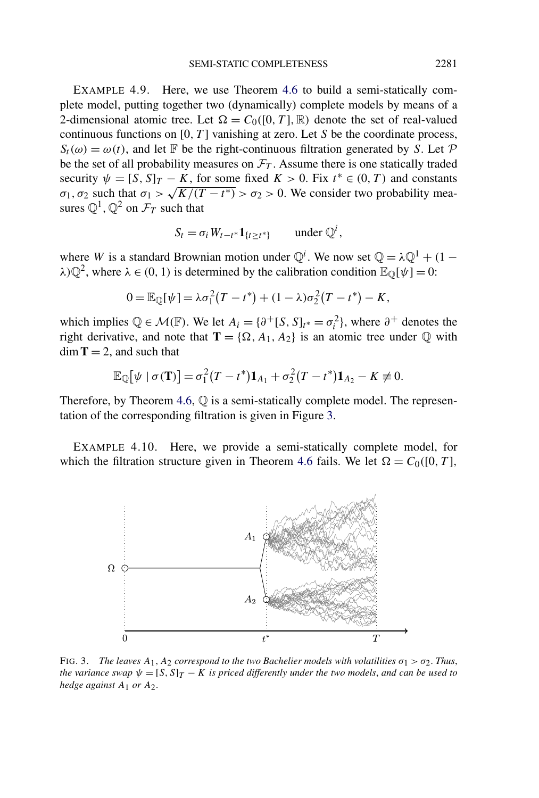<span id="page-12-0"></span>EXAMPLE 4.9. Here, we use Theorem [4.6](#page-10-0) to build a semi-statically complete model, putting together two (dynamically) complete models by means of a 2-dimensional atomic tree. Let  $\Omega = C_0([0, T], \mathbb{R})$  denote the set of real-valued continuous functions on [0*, T* ] vanishing at zero. Let *S* be the coordinate process,  $S_t(\omega) = \omega(t)$ , and let F be the right-continuous filtration generated by *S*. Let P be the set of all probability measures on  $\mathcal{F}_T$ . Assume there is one statically traded security  $\psi = [S, S]_T - K$ , for some fixed  $K > 0$ . Fix  $t^* \in (0, T)$  and constants *σ*<sub>1</sub>, *σ*<sub>2</sub> such that *σ*<sub>1</sub> >  $\sqrt{K/(T-t^*)}$  > *σ*<sub>2</sub> > 0. We consider two probability measures  $\mathbb{Q}^1$ ,  $\mathbb{Q}^2$  on  $\mathcal{F}_T$  such that

$$
S_t = \sigma_i W_{t-t^*} \mathbf{1}_{\{t \ge t^*\}} \quad \text{under } \mathbb{Q}^i,
$$

where *W* is a standard Brownian motion under  $\mathbb{Q}^i$ . We now set  $\mathbb{Q} = \lambda \mathbb{Q}^1 + (1 - \lambda)^i$ *λ*) $\mathbb{Q}^2$ , where *λ* ∈ (0, 1) is determined by the calibration condition  $\mathbb{E}_{\mathbb{Q}}[\psi] = 0$ :

$$
0 = \mathbb{E}_{\mathbb{Q}}[\psi] = \lambda \sigma_1^2 (T - t^*) + (1 - \lambda) \sigma_2^2 (T - t^*) - K,
$$

which implies  $\mathbb{Q} \in \mathcal{M}(\mathbb{F})$ . We let  $A_i = \{\partial^+[S, S]_{t^*} = \sigma_i^2\}$ , where  $\partial^+$  denotes the right derivative, and note that **T** = { $\Omega$ ,  $A_1$ ,  $A_2$ } is an atomic tree under  $\mathbb Q$  with  $\dim$  **T** = 2, and such that

$$
\mathbb{E}_{\mathbb{Q}}[\psi \mid \sigma(\mathbf{T})] = \sigma_1^2 (T - t^*) \mathbf{1}_{A_1} + \sigma_2^2 (T - t^*) \mathbf{1}_{A_2} - K \neq 0.
$$

Therefore, by Theorem [4.6,](#page-10-0)  $\mathbb Q$  is a semi-statically complete model. The representation of the corresponding filtration is given in Figure 3.

EXAMPLE 4.10. Here, we provide a semi-statically complete model, for which the filtration structure given in Theorem [4.6](#page-10-0) fails. We let  $\Omega = C_0([0, T],$ 



FIG. 3. *The leaves*  $A_1$ ,  $A_2$  *correspond to the two Bachelier models with volatilities*  $\sigma_1 > \sigma_2$ *. Thus, the variance swap*  $\psi = [S, S]_T - K$  *is priced differently under the two models, and can be used to hedge against A*1 *or A*2.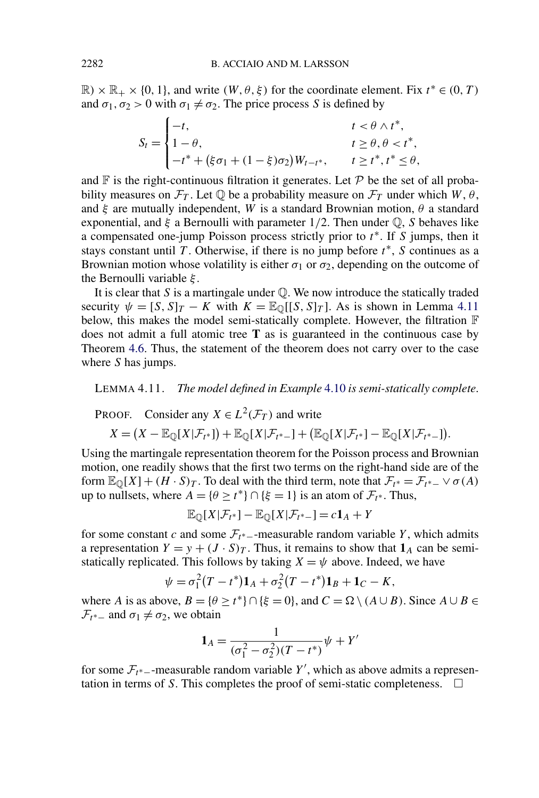$\mathbb{R}$ ) ×  $\mathbb{R}_+$  × {0, 1}, and write *(W,*  $\theta$ *,*  $\xi$ *)* for the coordinate element. Fix  $t^* \in (0, T)$ and  $\sigma_1, \sigma_2 > 0$  with  $\sigma_1 \neq \sigma_2$ . The price process *S* is defined by

$$
S_t = \begin{cases} -t, & t < \theta \wedge t^*, \\ 1 - \theta, & t \ge \theta, \theta < t^*, \\ -t^* + (\xi \sigma_1 + (1 - \xi) \sigma_2) W_{t - t^*}, & t \ge t^*, t^* \le \theta, \end{cases}
$$

and  $\mathbb F$  is the right-continuous filtration it generates. Let  $\mathcal P$  be the set of all probability measures on  $\mathcal{F}_T$ . Let  $\mathbb Q$  be a probability measure on  $\mathcal{F}_T$  under which  $W, \theta$ , and *ξ* are mutually independent, *W* is a standard Brownian motion, *θ* a standard exponential, and *ξ* a Bernoulli with parameter 1*/*2. Then under Q, *S* behaves like a compensated one-jump Poisson process strictly prior to *t*∗. If *S* jumps, then it stays constant until *T* . Otherwise, if there is no jump before *t*∗, *S* continues as a Brownian motion whose volatility is either  $\sigma_1$  or  $\sigma_2$ , depending on the outcome of the Bernoulli variable *ξ* .

It is clear that *S* is a martingale under Q. We now introduce the statically traded security  $\psi = [S, S]_T - K$  with  $K = \mathbb{E}_{\mathbb{O}}[[S, S]_T]$ . As is shown in Lemma 4.11 below, this makes the model semi-statically complete. However, the filtration  $\mathbb F$ does not admit a full atomic tree **T** as is guaranteed in the continuous case by Theorem [4.6.](#page-10-0) Thus, the statement of the theorem does not carry over to the case where *S* has jumps.

LEMMA 4.11. *The model defined in Example* [4.10](#page-12-0) *is semi-statically complete*.

**PROOF.** Consider any  $X \in L^2(\mathcal{F}_T)$  and write

$$
X = (X - \mathbb{E}_{\mathbb{Q}}[X|\mathcal{F}_{t^*}]) + \mathbb{E}_{\mathbb{Q}}[X|\mathcal{F}_{t^*-}] + (\mathbb{E}_{\mathbb{Q}}[X|\mathcal{F}_{t^*}] - \mathbb{E}_{\mathbb{Q}}[X|\mathcal{F}_{t^*-}]).
$$

Using the martingale representation theorem for the Poisson process and Brownian motion, one readily shows that the first two terms on the right-hand side are of the form  $\mathbb{E}_{\mathbb{Q}}[X] + (H \cdot S)_T$ . To deal with the third term, note that  $\mathcal{F}_{t^*} = \mathcal{F}_{t^*} - \vee \sigma(A)$ up to nullsets, where  $A = \{\theta \ge t^*\} \cap \{\xi = 1\}$  is an atom of  $\mathcal{F}_{t^*}$ . Thus,

$$
\mathbb{E}_{\mathbb{Q}}[X|\mathcal{F}_{t^*}] - \mathbb{E}_{\mathbb{Q}}[X|\mathcal{F}_{t^*-}] = c\mathbf{1}_A + Y
$$

for some constant *c* and some  $\mathcal{F}_{t^*}$ -measurable random variable *Y*, which admits a representation  $Y = y + (J \cdot S)T$ . Thus, it remains to show that  $\mathbf{1}_A$  can be semistatically replicated. This follows by taking  $X = \psi$  above. Indeed, we have

$$
\psi = \sigma_1^2 (T - t^*) \mathbf{1}_A + \sigma_2^2 (T - t^*) \mathbf{1}_B + \mathbf{1}_C - K,
$$

where *A* is as above,  $B = \{ \theta \ge t^* \} \cap \{ \xi = 0 \}$ , and  $C = \Omega \setminus (A \cup B)$ . Since  $A \cup B \in$  $\mathcal{F}_{t^*}$  and  $\sigma_1 \neq \sigma_2$ , we obtain

$$
1_A = \frac{1}{(\sigma_1^2 - \sigma_2^2)(T - t^*)} \psi + Y'
$$

for some  $\mathcal{F}_{t^*-}$ -measurable random variable *Y'*, which as above admits a representation in terms of *S*. This completes the proof of semi-static completeness.  $\Box$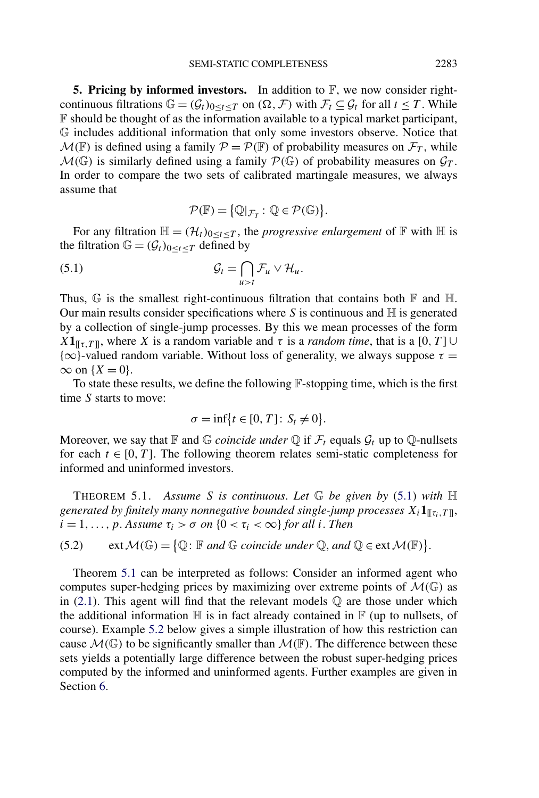<span id="page-14-0"></span>**5. Pricing by informed investors.** In addition to  $\mathbb{F}$ , we now consider rightcontinuous filtrations  $\mathbb{G} = (\mathcal{G}_t)_{0 \le t \le T}$  on  $(\Omega, \mathcal{F})$  with  $\mathcal{F}_t \subseteq \mathcal{G}_t$  for all  $t \le T$ . While F should be thought of as the information available to a typical market participant, G includes additional information that only some investors observe. Notice that  $M(F)$  is defined using a family  $P = P(F)$  of probability measures on  $\mathcal{F}_T$ , while  $M(\mathbb{G})$  is similarly defined using a family  $\mathcal{P}(\mathbb{G})$  of probability measures on  $\mathcal{G}_T$ . In order to compare the two sets of calibrated martingale measures, we always assume that

$$
\mathcal{P}(\mathbb{F}) = \{ \mathbb{Q} | \mathcal{F}_T : \mathbb{Q} \in \mathcal{P}(\mathbb{G}) \}.
$$

For any filtration  $\mathbb{H} = (\mathcal{H}_t)_{0 \le t \le T}$ , the *progressive enlargement* of  $\mathbb F$  with  $\mathbb H$  is the filtration  $\mathbb{G} = (\mathcal{G}_t)_{0 \le t \le T}$  defined by

(5.1) 
$$
\mathcal{G}_t = \bigcap_{u>t} \mathcal{F}_u \vee \mathcal{H}_u.
$$

Thus,  $G$  is the smallest right-continuous filtration that contains both  $F$  and  $H$ . Our main results consider specifications where  $S$  is continuous and  $H$  is generated by a collection of single-jump processes. By this we mean processes of the form  $X$ **1**<sub> $[[\tau, T]]$ </sub>, where *X* is a random variable and  $\tau$  is a *random time*, that is a [0, *T*] ∪  ${\infty}$ -valued random variable. Without loss of generality, we always suppose  $\tau =$  $\infty$  on  $\{X=0\}$ .

To state these results, we define the following  $\mathbb{F}$ -stopping time, which is the first time *S* starts to move:

$$
\sigma = \inf \{ t \in [0, T] \colon S_t \neq 0 \}.
$$

Moreover, we say that  $\mathbb F$  and  $\mathbb G$  *coincide under*  $\mathbb Q$  if  $\mathcal F_t$  equals  $\mathcal G_t$  up to  $\mathbb Q$ -nullsets for each  $t \in [0, T]$ . The following theorem relates semi-static completeness for informed and uninformed investors.

**THEOREM 5.1.** Assume S is continuous. Let  $\mathbb{G}$  be given by (5.1) with  $\mathbb{H}$ *generated by finitely many nonnegative bounded single-jump processes*  $X_i \mathbf{1}_{\mathbb{F}[\tau_i, T]}$ ,  $i = 1, \ldots, p$ . *Assume*  $\tau_i > \sigma$  *on*  $\{0 < \tau_i < \infty\}$  *for all i*. *Then* 

(5.2) 
$$
\text{ext}\,\mathcal{M}(\mathbb{G}) = \{ \mathbb{Q} \colon \mathbb{F} \text{ and } \mathbb{G} \text{ coincide under } \mathbb{Q}, \text{ and } \mathbb{Q} \in \text{ext}\,\mathcal{M}(\mathbb{F}) \}.
$$

Theorem 5.1 can be interpreted as follows: Consider an informed agent who computes super-hedging prices by maximizing over extreme points of  $\mathcal{M}(\mathbb{G})$  as in  $(2.1)$ . This agent will find that the relevant models  $\mathbb Q$  are those under which the additional information  $\mathbb H$  is in fact already contained in  $\mathbb F$  (up to nullsets, of course). Example [5.2](#page-15-0) below gives a simple illustration of how this restriction can cause  $\mathcal{M}(\mathbb{G})$  to be significantly smaller than  $\mathcal{M}(\mathbb{F})$ . The difference between these sets yields a potentially large difference between the robust super-hedging prices computed by the informed and uninformed agents. Further examples are given in Section [6.](#page-18-0)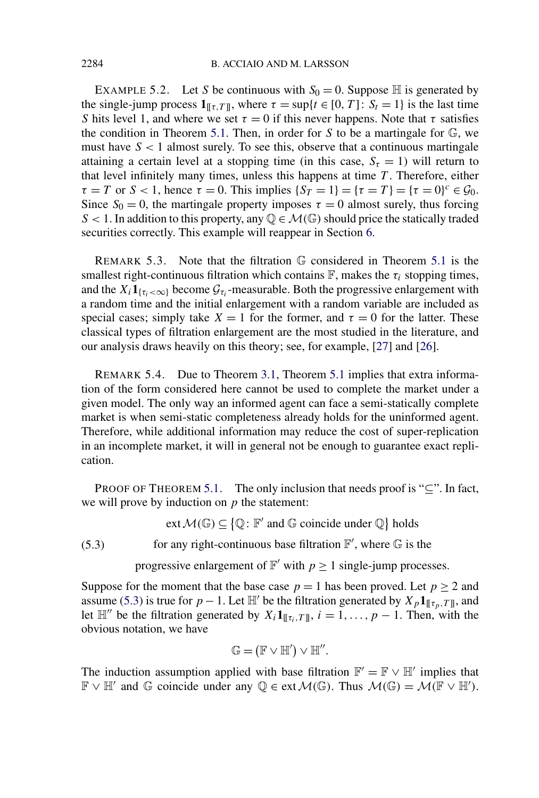<span id="page-15-0"></span>EXAMPLE 5.2. Let *S* be continuous with  $S_0 = 0$ . Suppose  $\mathbb H$  is generated by the single-jump process  $\mathbf{1}_{[\![\tau,T]\!]}$ , where  $\tau = \sup\{t \in [0,T] : S_t = 1\}$  is the last time *S* hits level 1, and where we set  $\tau = 0$  if this never happens. Note that  $\tau$  satisfies the condition in Theorem [5.1.](#page-14-0) Then, in order for *S* to be a martingale for G, we must have  $S < 1$  almost surely. To see this, observe that a continuous martingale attaining a certain level at a stopping time (in this case,  $S_{\tau} = 1$ ) will return to that level infinitely many times, unless this happens at time *T* . Therefore, either  $\tau = T$  or  $S < 1$ , hence  $\tau = 0$ . This implies  $\{S_T = 1\} = \{\tau = T\} = \{\tau = 0\}^c \in \mathcal{G}_0$ . Since  $S_0 = 0$ , the martingale property imposes  $\tau = 0$  almost surely, thus forcing *S* < 1. In addition to this property, any  $\mathbb{Q} \in \mathcal{M}(\mathbb{G})$  should price the statically traded securities correctly. This example will reappear in Section [6.](#page-18-0)

REMARK 5.3. Note that the filtration G considered in Theorem [5.1](#page-14-0) is the smallest right-continuous filtration which contains  $\mathbb{F}$ , makes the  $\tau_i$  stopping times, and the  $X_i \mathbf{1}_{\{\tau_i < \infty\}}$  become  $\mathcal{G}_{\tau_i}$ -measurable. Both the progressive enlargement with a random time and the initial enlargement with a random variable are included as special cases; simply take  $X = 1$  for the former, and  $\tau = 0$  for the latter. These classical types of filtration enlargement are the most studied in the literature, and our analysis draws heavily on this theory; see, for example, [\[27\]](#page-34-0) and [\[26\]](#page-34-0).

REMARK 5.4. Due to Theorem [3.1,](#page-5-0) Theorem [5.1](#page-14-0) implies that extra information of the form considered here cannot be used to complete the market under a given model. The only way an informed agent can face a semi-statically complete market is when semi-static completeness already holds for the uninformed agent. Therefore, while additional information may reduce the cost of super-replication in an incomplete market, it will in general not be enough to guarantee exact replication.

PROOF OF THEOREM [5.1.](#page-14-0) The only inclusion that needs proof is " $\subseteq$ ". In fact, we will prove by induction on *p* the statement:

$$
ext \mathcal{M}(\mathbb{G}) \subseteq \{ \mathbb{Q} \colon \mathbb{F}' \text{ and } \mathbb{G} \text{ coincide under } \mathbb{Q} \} \text{ holds}
$$

(5.3) for any right-continuous base filtration  $\mathbb{F}'$ , where  $\mathbb{G}$  is the

progressive enlargement of  $\mathbb{F}'$  with  $p \ge 1$  single-jump processes.

Suppose for the moment that the base case  $p = 1$  has been proved. Let  $p \ge 2$  and assume (5.3) is true for  $p-1$ . Let  $\mathbb{H}'$  be the filtration generated by  $X_p \mathbf{1}_{\mathbb{F}_p,T\mathbb{I}}$ , and let  $\mathbb{H}''$  be the filtration generated by  $X_i \mathbf{1}_{[\![\tau_i, T]\!]}, i = 1, \ldots, p - 1$ . Then, with the obvious notation, we have

$$
\mathbb{G} = (\mathbb{F} \vee \mathbb{H}') \vee \mathbb{H}''.
$$

The induction assumption applied with base filtration  $\mathbb{F}' = \mathbb{F} \vee \mathbb{H}'$  implies that  $\mathbb{F} \vee \mathbb{H}'$  and  $\mathbb{G}$  coincide under any  $\mathbb{Q} \in \text{ext}\,\mathcal{M}(\mathbb{G})$ . Thus  $\mathcal{M}(\mathbb{G}) = \mathcal{M}(\mathbb{F} \vee \mathbb{H}')$ .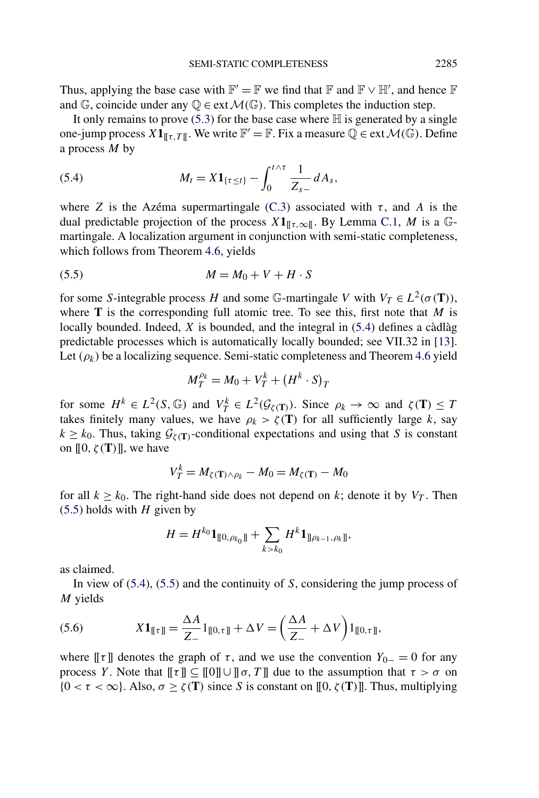<span id="page-16-0"></span>Thus, applying the base case with  $\mathbb{F}' = \mathbb{F}$  we find that  $\mathbb{F}$  and  $\mathbb{F} \vee \mathbb{H}'$ , and hence  $\mathbb{F}$ and  $\mathbb{G}$ , coincide under any  $\mathbb{Q} \in \text{ext}\,\mathcal{M}(\mathbb{G})$ . This completes the induction step.

It only remains to prove  $(5.3)$  for the base case where  $\mathbb H$  is generated by a single one-jump process  $X\mathbf{1}_{\mathbb{F}_p[T]}$ . We write  $\mathbb{F}' = \mathbb{F}$ . Fix a measure  $\mathbb{Q} \in \text{ext}\,\mathcal{M}(\mathbb{G})$ . Define a process *M* by

(5.4) 
$$
M_t = X \mathbf{1}_{\{\tau \le t\}} - \int_0^{t \wedge \tau} \frac{1}{Z_{s-}} dA_s,
$$

where *Z* is the Azéma supermartingale [\(C.3\)](#page-32-0) associated with  $\tau$ , and *A* is the dual predictable projection of the process  $X1_{\mathbb{F}^7$ ,  $\infty\mathbb{F}^7}$ . By Lemma [C.1,](#page-33-0) *M* is a  $\mathbb{G}$ martingale. A localization argument in conjunction with semi-static completeness, which follows from Theorem [4.6,](#page-10-0) yields

$$
(5.5) \t\t M = M_0 + V + H \cdot S
$$

for some *S*-integrable process *H* and some G-martingale *V* with  $V_T \in L^2(\sigma(T))$ , where **T** is the corresponding full atomic tree. To see this, first note that *M* is locally bounded. Indeed, *X* is bounded, and the integral in (5.4) defines a càdlàg predictable processes which is automatically locally bounded; see VII.32 in [\[13\]](#page-34-0). Let  $(\rho_k)$  be a localizing sequence. Semi-static completeness and Theorem [4.6](#page-10-0) yield

$$
M_T^{\rho_k} = M_0 + V_T^k + (H^k \cdot S)_T
$$

for some  $H^k \in L^2(S, \mathbb{G})$  and  $V^k_T \in L^2(\mathcal{G}_{\zeta(T)})$ . Since  $\rho_k \to \infty$  and  $\zeta(T) \leq T$ takes finitely many values, we have  $\rho_k > \zeta(T)$  for all sufficiently large *k*, say  $k \geq k_0$ . Thus, taking  $\mathcal{G}_{\zeta(T)}$ -conditional expectations and using that *S* is constant on  $[0, \zeta(\mathbf{T})]$ , we have

$$
V_T^k = M_{\zeta(\mathbf{T}) \wedge \rho_k} - M_0 = M_{\zeta(\mathbf{T})} - M_0
$$

for all  $k \geq k_0$ . The right-hand side does not depend on *k*; denote it by  $V_T$ . Then (5.5) holds with *H* given by

$$
H = H^{k_0} \mathbf{1}_{\llbracket 0, \rho_{k_0} \rrbracket} + \sum_{k > k_0} H^k \mathbf{1}_{\llbracket \rho_{k-1}, \rho_k \rrbracket},
$$

as claimed.

In view of (5.4), (5.5) and the continuity of *S*, considering the jump process of *M* yields

(5.6) 
$$
X\mathbf{1}_{\llbracket \tau \rrbracket} = \frac{\Delta A}{Z_{-}} 1_{\llbracket 0, \tau \rrbracket} + \Delta V = \left(\frac{\Delta A}{Z_{-}} + \Delta V\right) 1_{\llbracket 0, \tau \rrbracket},
$$

where  $[\![\tau]\!]$  denotes the graph of  $\tau$ , and we use the convention  $Y_{0-} = 0$  for any process *Y*. Note that  $[\![\tau]\!] \subseteq [\![0]\!] \cup [\![\sigma, T]\!]$  due to the assumption that  $\tau > \sigma$  on  ${0 < \tau < \infty}$ . Also,  $\sigma \ge \zeta(T)$  since *S* is constant on [[0,  $\zeta(T)$ ]]. Thus, multiplying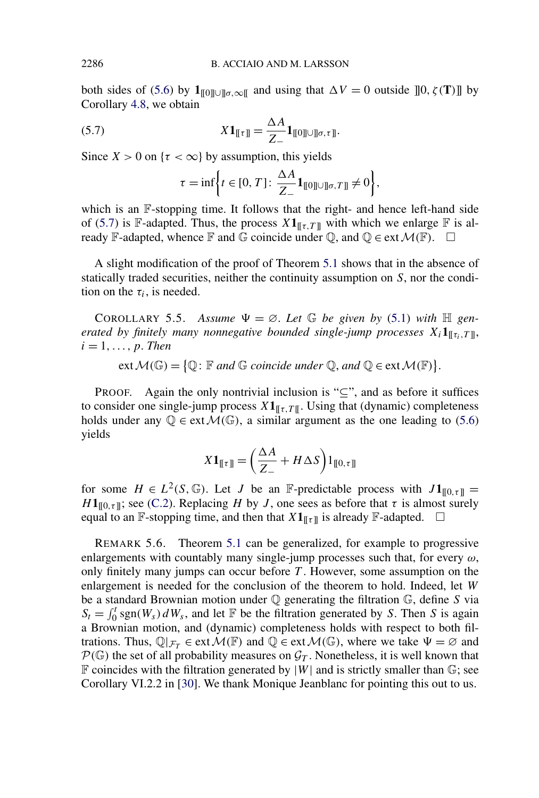<span id="page-17-0"></span>both sides of [\(5.6\)](#page-16-0) by  $\mathbf{1}_{\llbracket 0 \rrbracket \cup \llbracket \sigma, \infty \rrbracket}$  and using that  $\Delta V = 0$  outside  $\llbracket 0, \zeta(T) \rrbracket$  by Corollary [4.8,](#page-11-0) we obtain

(5.7) 
$$
X\mathbf{1}_{\llbracket \tau \rrbracket} = \frac{\Delta A}{Z_{-}} \mathbf{1}_{\llbracket 0 \rrbracket \cup \rrbracket \sigma, \tau \rrbracket}.
$$

Since  $X > 0$  on  $\{\tau < \infty\}$  by assumption, this yields

$$
\tau = \inf \biggl\{ t \in [0, T] \colon \frac{\Delta A}{Z_{-}} \mathbf{1}_{\llbracket 0 \rrbracket \cup \rrbracket \sigma, T \rrbracket} \neq 0 \biggr\},\
$$

which is an F-stopping time. It follows that the right- and hence left-hand side of (5.7) is F-adapted. Thus, the process  $X1_{\mathbb{F}[\tau,T]}$  with which we enlarge F is already F-adapted, whence F and G coincide under Q, and Q  $\in$  ext  $\mathcal{M}(\mathbb{F})$ .  $\Box$ 

A slight modification of the proof of Theorem [5.1](#page-14-0) shows that in the absence of statically traded securities, neither the continuity assumption on *S*, nor the condition on the  $\tau_i$ , is needed.

COROLLARY 5.5. Assume  $\Psi = \emptyset$ . Let  $\mathbb G$  be given by [\(5.1\)](#page-14-0) with  $\mathbb H$  gen*erated by finitely many nonnegative bounded single-jump processes*  $X_i \mathbf{1}_{\mathbb{F}_i \times \mathbb{F}_i}$ ,  $i = 1, \ldots, p$ . *Then* 

 $ext{\mathcal{M}}(\mathbb{G}) = {\mathbb{Q}} \colon \mathbb{F}$  and  $\mathbb{G}$  *coincide under*  $\mathbb{Q}$ *, and*  $\mathbb{Q} \in ext \mathcal{M}(\mathbb{F}) \}.$ 

PROOF. Again the only nontrivial inclusion is " $\subseteq$ ", and as before it suffices to consider one single-jump process  $X1_{\mathbb{F}^T,T\mathbb{F}}$ . Using that (dynamic) completeness holds under any  $\mathbb{Q} \in \text{ext}\mathcal{M}(\mathbb{G})$ , a similar argument as the one leading to [\(5.6\)](#page-16-0) yields

$$
X\mathbf{1}_{\llbracket \tau \rrbracket} = \left(\frac{\Delta A}{Z_{-}} + H\Delta S\right)1_{\llbracket 0,\tau \rrbracket}
$$

for some  $H \in L^2(S, \mathbb{G})$ . Let *J* be an F-predictable process with  $J\mathbf{1}_{[0,\tau]} =$  $H1_{\llbracket 0,\tau \rrbracket}$ ; see [\(C.2\)](#page-32-0). Replacing *H* by *J*, one sees as before that  $\tau$  is almost surely equal to an F-stopping time, and then that  $X1_{\mathbb{F} \tau \mathbb{I}}$  is already F-adapted.  $\Box$ 

REMARK 5.6. Theorem [5.1](#page-14-0) can be generalized, for example to progressive enlargements with countably many single-jump processes such that, for every  $\omega$ , only finitely many jumps can occur before *T* . However, some assumption on the enlargement is needed for the conclusion of the theorem to hold. Indeed, let *W* be a standard Brownian motion under Q generating the filtration G, define *S* via  $S_t = \int_0^t \text{sgn}(W_s) dW_s$ , and let **F** be the filtration generated by *S*. Then *S* is again a Brownian motion, and (dynamic) completeness holds with respect to both filtrations. Thus,  $\mathbb{Q}|_{\mathcal{F}_T} \in \text{ext}\,\mathcal{M}(\mathbb{F})$  and  $\mathbb{Q} \in \text{ext}\,\mathcal{M}(\mathbb{G})$ , where we take  $\Psi = \emptyset$  and  $P(\mathbb{G})$  the set of all probability measures on  $\mathcal{G}_T$ . Nonetheless, it is well known that  $\mathbb F$  coincides with the filtration generated by  $|W|$  and is strictly smaller than  $\mathbb G$ ; see Corollary VI.2.2 in [\[30\]](#page-34-0). We thank Monique Jeanblanc for pointing this out to us.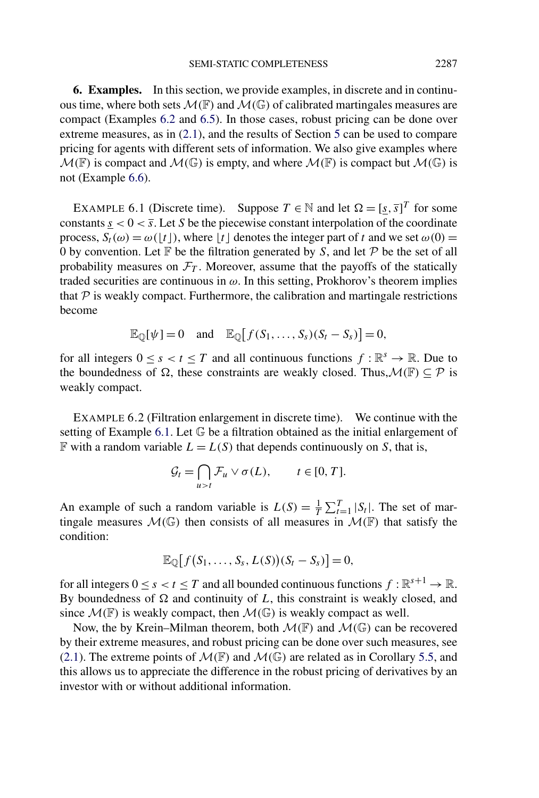<span id="page-18-0"></span>**6. Examples.** In this section, we provide examples, in discrete and in continuous time, where both sets  $\mathcal{M}(\mathbb{F})$  and  $\mathcal{M}(\mathbb{G})$  of calibrated martingales measures are compact (Examples 6.2 and [6.5\)](#page-20-0). In those cases, robust pricing can be done over extreme measures, as in [\(2.1\)](#page-4-0), and the results of Section [5](#page-14-0) can be used to compare pricing for agents with different sets of information. We also give examples where  $\mathcal{M}(\mathbb{F})$  is compact and  $\mathcal{M}(\mathbb{G})$  is empty, and where  $\mathcal{M}(\mathbb{F})$  is compact but  $\mathcal{M}(\mathbb{G})$  is not (Example [6.6\)](#page-20-0).

EXAMPLE 6.1 (Discrete time). Suppose  $T \in \mathbb{N}$  and let  $\Omega = [\underline{s}, \overline{s}]^T$  for some constants  $s < 0 < \overline{s}$ . Let *S* be the piecewise constant interpolation of the coordinate process,  $S_t(\omega) = \omega(|t|)$ , where  $|t|$  denotes the integer part of t and we set  $\omega(0)$  = 0 by convention. Let  $\mathbb F$  be the filtration generated by *S*, and let  $\mathcal P$  be the set of all probability measures on  $\mathcal{F}_T$ . Moreover, assume that the payoffs of the statically traded securities are continuous in *ω*. In this setting, Prokhorov's theorem implies that  $P$  is weakly compact. Furthermore, the calibration and martingale restrictions become

$$
\mathbb{E}_{\mathbb{Q}}[\psi] = 0 \quad \text{and} \quad \mathbb{E}_{\mathbb{Q}}[f(S_1,\ldots,S_s)(S_t - S_s)] = 0,
$$

for all integers  $0 \le s < t \le T$  and all continuous functions  $f : \mathbb{R}^s \to \mathbb{R}$ . Due to the boundedness of  $\Omega$ , these constraints are weakly closed. Thus,  $\mathcal{M}(\mathbb{F}) \subseteq \mathcal{P}$  is weakly compact.

EXAMPLE 6.2 (Filtration enlargement in discrete time). We continue with the setting of Example 6.1. Let  $\mathbb G$  be a filtration obtained as the initial enlargement of  $\mathbb F$  with a random variable  $L = L(S)$  that depends continuously on *S*, that is,

$$
\mathcal{G}_t = \bigcap_{u>t} \mathcal{F}_u \vee \sigma(L), \qquad t \in [0, T].
$$

An example of such a random variable is  $L(S) = \frac{1}{T} \sum_{t=1}^{T} |S_t|$ . The set of martingale measures  $\mathcal{M}(\mathbb{G})$  then consists of all measures in  $\mathcal{M}(\mathbb{F})$  that satisfy the condition:

$$
\mathbb{E}_{\mathbb{Q}}[f(S_1,\ldots,S_s,L(S))(S_t-S_s)]=0,
$$

for all integers  $0 \le s < t \le T$  and all bounded continuous functions  $f : \mathbb{R}^{s+1} \to \mathbb{R}$ . By boundedness of  $\Omega$  and continuity of  $L$ , this constraint is weakly closed, and since  $\mathcal{M}(\mathbb{F})$  is weakly compact, then  $\mathcal{M}(\mathbb{G})$  is weakly compact as well.

Now, the by Krein–Milman theorem, both  $\mathcal{M}(\mathbb{F})$  and  $\mathcal{M}(\mathbb{G})$  can be recovered by their extreme measures, and robust pricing can be done over such measures, see [\(2.1\)](#page-4-0). The extreme points of  $\mathcal{M}(\mathbb{F})$  and  $\mathcal{M}(\mathbb{G})$  are related as in Corollary [5.5,](#page-17-0) and this allows us to appreciate the difference in the robust pricing of derivatives by an investor with or without additional information.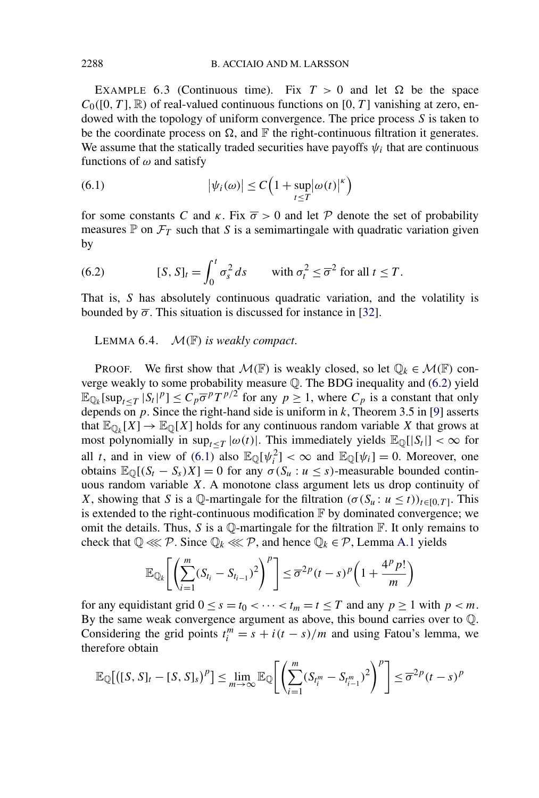<span id="page-19-0"></span>EXAMPLE 6.3 (Continuous time). Fix  $T > 0$  and let  $\Omega$  be the space  $C_0([0, T], \mathbb{R})$  of real-valued continuous functions on [0*, T*] vanishing at zero, endowed with the topology of uniform convergence. The price process *S* is taken to be the coordinate process on  $\Omega$ , and  $\mathbb F$  the right-continuous filtration it generates. We assume that the statically traded securities have payoffs  $\psi_i$  that are continuous functions of *ω* and satisfy

(6.1) 
$$
\left|\psi_i(\omega)\right| \le C\Big(1+\sup_{t\le T}|\omega(t)|^\kappa\Big)
$$

for some constants *C* and  $\kappa$ . Fix  $\overline{\sigma} > 0$  and let P denote the set of probability measures  $\mathbb P$  on  $\mathcal F_T$  such that *S* is a semimartingale with quadratic variation given by

(6.2) 
$$
[S, S]_t = \int_0^t \sigma_s^2 ds \quad \text{with } \sigma_t^2 \leq \overline{\sigma}^2 \text{ for all } t \leq T.
$$

That is, *S* has absolutely continuous quadratic variation, and the volatility is bounded by  $\overline{\sigma}$ . This situation is discussed for instance in [\[32\]](#page-35-0).

LEMMA 6.4. M*(*F*) is weakly compact*.

**PROOF.** We first show that  $\mathcal{M}(\mathbb{F})$  is weakly closed, so let  $\mathbb{Q}_k \in \mathcal{M}(\mathbb{F})$  converge weakly to some probability measure Q. The BDG inequality and (6.2) yield  $\mathbb{E}_{\mathbb{Q}_k}[\sup_{t \leq T} |S_t|^p] \leq C_p \overline{\sigma}^p T^{p/2}$  for any  $p \geq 1$ , where  $C_p$  is a constant that only depends on  $p$ . Since the right-hand side is uniform in  $k$ , Theorem 3.5 in [\[9\]](#page-34-0) asserts that  $\mathbb{E}_{\mathbb{Q}_k}[X] \to \mathbb{E}_{\mathbb{Q}}[X]$  holds for any continuous random variable X that grows at most polynomially in  $\sup_{t \leq T} |\omega(t)|$ . This immediately yields  $\mathbb{E}_{\mathbb{Q}}[|S_t|] < \infty$  for all *t*, and in view of (6.1) also  $\mathbb{E}_{\mathbb{Q}}[\psi_i^2] < \infty$  and  $\mathbb{E}_{\mathbb{Q}}[\psi_i] = 0$ . Moreover, one obtains  $\mathbb{E}_{\mathbb{O}}[(S_t - S_s)X] = 0$  for any  $\sigma(S_u : u \leq s)$ -measurable bounded continuous random variable *X*. A monotone class argument lets us drop continuity of *X*, showing that *S* is a Q-martingale for the filtration  $(\sigma(S_u : u \le t))_{t \in [0,T]}$ . This is extended to the right-continuous modification  $\mathbb F$  by dominated convergence; we omit the details. Thus, *S* is a  $\mathbb Q$ -martingale for the filtration  $\mathbb F$ . It only remains to check that  $\mathbb{Q} \ll \mathcal{P}$ . Since  $\mathbb{Q}_k \ll \mathcal{P}$ , and hence  $\mathbb{Q}_k \in \mathcal{P}$ , Lemma [A.1](#page-21-0) yields

$$
\mathbb{E}_{\mathbb{Q}_k}\left[\left(\sum_{i=1}^m (S_{t_i} - S_{t_{i-1}})^2\right)^p\right] \leq \overline{\sigma}^{2p} (t-s)^p \left(1 + \frac{4^p p!}{m}\right)
$$

for any equidistant grid  $0 \le s = t_0 < \cdots < t_m = t \le T$  and any  $p \ge 1$  with  $p < m$ . By the same weak convergence argument as above, this bound carries over to Q. Considering the grid points  $t_i^m = s + i(t - s)/m$  and using Fatou's lemma, we therefore obtain

$$
\mathbb{E}_{\mathbb{Q}}[(S, S]_t - [S, S]_s)^p] \le \lim_{m \to \infty} \mathbb{E}_{\mathbb{Q}}\left[\left(\sum_{i=1}^m (S_{t_i^m} - S_{t_{i-1}^m})^2\right)^p\right] \le \overline{\sigma}^{2p} (t-s)^p
$$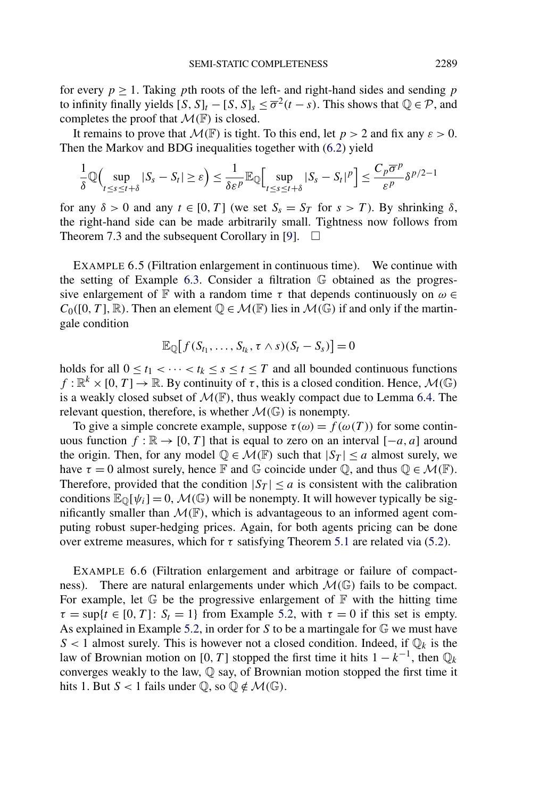<span id="page-20-0"></span>for every  $p \geq 1$ . Taking *p*th roots of the left- and right-hand sides and sending *p* to infinity finally yields  $[S, S]_t - [S, S]_s \leq \overline{\sigma}^2(t - s)$ . This shows that  $\mathbb{Q} \in \mathcal{P}$ , and completes the proof that  $\mathcal{M}(\mathbb{F})$  is closed.

It remains to prove that  $\mathcal{M}(\mathbb{F})$  is tight. To this end, let  $p > 2$  and fix any  $\varepsilon > 0$ . Then the Markov and BDG inequalities together with [\(6.2\)](#page-19-0) yield

$$
\frac{1}{\delta} \mathbb{Q}\Big(\sup_{t \leq s \leq t+\delta} |S_s - S_t| \geq \varepsilon\Big) \leq \frac{1}{\delta \varepsilon^p} \mathbb{E}_{\mathbb{Q}}\Big[\sup_{t \leq s \leq t+\delta} |S_s - S_t|^p\Big] \leq \frac{C_p \overline{\sigma}^p}{\varepsilon^p} \delta^{p/2-1}
$$

for any  $\delta > 0$  and any  $t \in [0, T]$  (we set  $S_s = S_T$  for  $s > T$ ). By shrinking  $\delta$ , the right-hand side can be made arbitrarily small. Tightness now follows from Theorem 7.3 and the subsequent Corollary in [\[9\]](#page-34-0).  $\Box$ 

EXAMPLE 6.5 (Filtration enlargement in continuous time). We continue with the setting of Example [6.3.](#page-19-0) Consider a filtration G obtained as the progressive enlargement of F with a random time  $\tau$  that depends continuously on  $\omega \in$  $C_0([0, T], \mathbb{R})$ . Then an element  $\mathbb{Q} \in \mathcal{M}(\mathbb{F})$  lies in  $\mathcal{M}(\mathbb{G})$  if and only if the martingale condition

$$
\mathbb{E}_{\mathbb{Q}}[f(S_{t_1},\ldots,S_{t_k},\tau\wedge s)(S_t-S_s)]=0
$$

holds for all  $0 \le t_1 < \cdots < t_k \le s \le t \le T$  and all bounded continuous functions  $f: \mathbb{R}^k \times [0, T] \to \mathbb{R}$ . By continuity of  $\tau$ , this is a closed condition. Hence,  $\mathcal{M}(\mathbb{G})$ is a weakly closed subset of  $\mathcal{M}(\mathbb{F})$ , thus weakly compact due to Lemma [6.4.](#page-19-0) The relevant question, therefore, is whether  $\mathcal{M}(\mathbb{G})$  is nonempty.

To give a simple concrete example, suppose  $\tau(\omega) = f(\omega(T))$  for some continuous function  $f : \mathbb{R} \to [0, T]$  that is equal to zero on an interval  $[-a, a]$  around the origin. Then, for any model  $\mathbb{Q} \in \mathcal{M}(\mathbb{F})$  such that  $|S_T| \le a$  almost surely, we have  $\tau = 0$  almost surely, hence  $\mathbb F$  and  $\mathbb G$  coincide under  $\mathbb Q$ , and thus  $\mathbb Q \in \mathcal M(\mathbb F)$ . Therefore, provided that the condition  $|S_T| \le a$  is consistent with the calibration conditions  $\mathbb{E}_{\mathbb{Q}}[\psi_i] = 0$ ,  $\mathcal{M}(\mathbb{G})$  will be nonempty. It will however typically be significantly smaller than  $\mathcal{M}(\mathbb{F})$ , which is advantageous to an informed agent computing robust super-hedging prices. Again, for both agents pricing can be done over extreme measures, which for  $\tau$  satisfying Theorem [5.1](#page-14-0) are related via [\(5.2\)](#page-14-0).

EXAMPLE 6.6 (Filtration enlargement and arbitrage or failure of compactness). There are natural enlargements under which  $\mathcal{M}(\mathbb{G})$  fails to be compact. For example, let  $\mathbb G$  be the progressive enlargement of  $\mathbb F$  with the hitting time  $\tau = \sup\{t \in [0, T] : S_t = 1\}$  from Example [5.2,](#page-15-0) with  $\tau = 0$  if this set is empty. As explained in Example [5.2,](#page-15-0) in order for *S* to be a martingale for G we must have  $S < 1$  almost surely. This is however not a closed condition. Indeed, if  $\mathbb{Q}_k$  is the law of Brownian motion on [0, T] stopped the first time it hits  $1 - k^{-1}$ , then  $\mathbb{Q}_k$ converges weakly to the law, Q say, of Brownian motion stopped the first time it hits 1. But *S* < 1 fails under  $\mathbb{Q}$ , so  $\mathbb{Q} \notin \mathcal{M}(\mathbb{G})$ .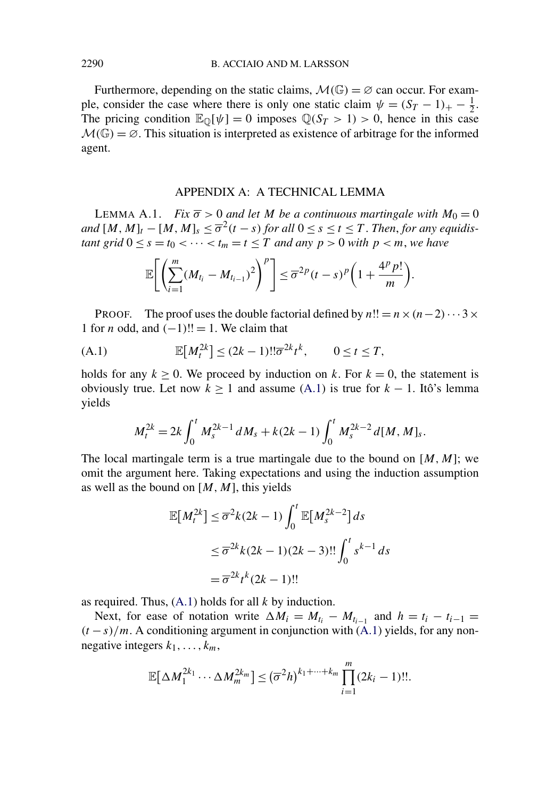Furthermore, depending on the static claims,  $\mathcal{M}(\mathbb{G}) = \emptyset$  can occur. For example, consider the case where there is only one static claim  $\psi = (S_T - 1)_+ - \frac{1}{2}$ . The pricing condition  $\mathbb{E}_{\mathbb{Q}}[\psi] = 0$  imposes  $\mathbb{Q}(S_T > 1) > 0$ , hence in this case  $M(\mathbb{G}) = \emptyset$ . This situation is interpreted as existence of arbitrage for the informed agent.

### APPENDIX A: A TECHNICAL LEMMA

LEMMA A.1. *Fix*  $\overline{\sigma} > 0$  *and let M be a continuous martingale with*  $M_0 = 0$ *and*  $[M, M]$ <sub>t</sub> −  $[M, M]$ <sub>s</sub>  $\leq \overline{\sigma}^2$  (*t* − *s*) *for all*  $0 \leq s \leq t \leq T$ . *Then, for any equidistant grid*  $0 \le s = t_0 < \cdots < t_m = t \le T$  *and any*  $p > 0$  *with*  $p < m$ *, we have* 

$$
\mathbb{E}\bigg[\bigg(\sum_{i=1}^m (M_{t_i}-M_{t_{i-1}})^2\bigg)^p\bigg] \leq \overline{\sigma}^{2p}(t-s)^p\bigg(1+\frac{4^p p!}{m}\bigg).
$$

PROOF. The proof uses the double factorial defined by  $n!! = n \times (n-2) \cdots 3 \times$ 1 for *n* odd, and  $(-1)! = 1$ . We claim that

(A.1) 
$$
\mathbb{E}[M_t^{2k}] \le (2k-1)!!\overline{\sigma}^{2k}t^k, \qquad 0 \le t \le T,
$$

holds for any  $k \ge 0$ . We proceed by induction on k. For  $k = 0$ , the statement is obviously true. Let now *k* ≥ 1 and assume (A.1) is true for *k* − 1. Itô's lemma yields

$$
M_t^{2k} = 2k \int_0^t M_s^{2k-1} dM_s + k(2k-1) \int_0^t M_s^{2k-2} d[M, M]_s.
$$

The local martingale term is a true martingale due to the bound on  $[M, M]$ ; we omit the argument here. Taking expectations and using the induction assumption as well as the bound on  $[M, M]$ , this yields

$$
\mathbb{E}[M_t^{2k}] \le \overline{\sigma}^2 k (2k-1) \int_0^t \mathbb{E}[M_s^{2k-2}] ds
$$
  

$$
\le \overline{\sigma}^{2k} k (2k-1) (2k-3)!! \int_0^t s^{k-1} ds
$$
  

$$
= \overline{\sigma}^{2k} t^k (2k-1)!!
$$

as required. Thus, (A.1) holds for all *k* by induction.

Next, for ease of notation write  $\Delta M_i = M_{t_i} - M_{t_{i-1}}$  and  $h = t_i - t_{i-1}$  $(t - s)/m$ . A conditioning argument in conjunction with (A.1) yields, for any nonnegative integers *k*1*,...,km*,

$$
\mathbb{E}[\Delta M_1^{2k_1}\cdots \Delta M_m^{2k_m}] \leq (\overline{\sigma}^2 h)^{k_1+\cdots+k_m} \prod_{i=1}^m (2k_i-1)!!.
$$

<span id="page-21-0"></span>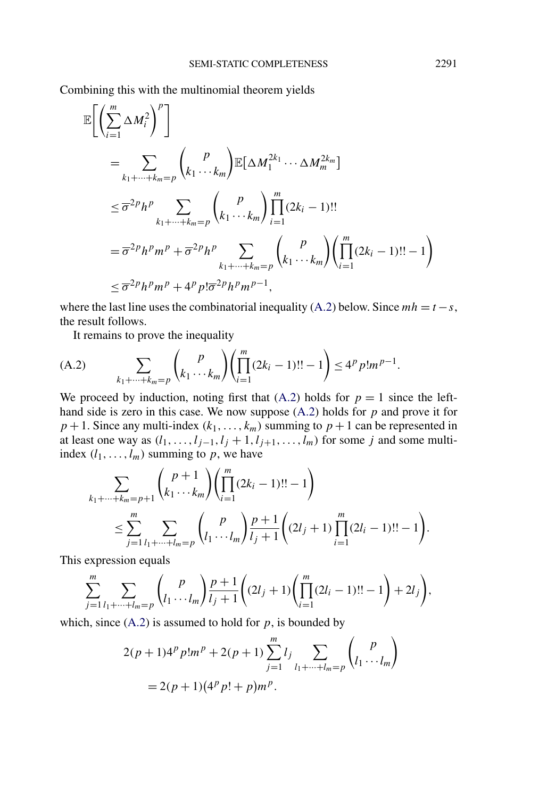<span id="page-22-0"></span>Combining this with the multinomial theorem yields

$$
\mathbb{E}\bigg[\bigg(\sum_{i=1}^{m} \Delta M_i^2\bigg)^p\bigg]
$$
\n
$$
= \sum_{k_1 + \dots + k_m = p} \binom{p}{k_1 \dots k_m} \mathbb{E}[\Delta M_1^{2k_1} \dots \Delta M_m^{2k_m}]
$$
\n
$$
\leq \overline{\sigma}^{2p} h^p \sum_{k_1 + \dots + k_m = p} \binom{p}{k_1 \dots k_m} \prod_{i=1}^m (2k_i - 1)!!
$$
\n
$$
= \overline{\sigma}^{2p} h^p m^p + \overline{\sigma}^{2p} h^p \sum_{k_1 + \dots + k_m = p} \binom{p}{k_1 \dots k_m} \bigg(\prod_{i=1}^m (2k_i - 1)!! - 1\bigg)
$$
\n
$$
\leq \overline{\sigma}^{2p} h^p m^p + 4^p p! \overline{\sigma}^{2p} h^p m^{p-1},
$$

where the last line uses the combinatorial inequality (A.2) below. Since  $mh = t - s$ , the result follows.

It remains to prove the inequality

(A.2) 
$$
\sum_{k_1+\cdots+k_m=p} {p \choose k_1 \cdots k_m} \left( \prod_{i=1}^m (2k_i-1)!! - 1 \right) \le 4^p p! m^{p-1}.
$$

We proceed by induction, noting first that  $(A.2)$  holds for  $p = 1$  since the lefthand side is zero in this case. We now suppose (A.2) holds for *p* and prove it for  $p + 1$ . Since any multi-index  $(k_1, \ldots, k_m)$  summing to  $p + 1$  can be represented in at least one way as  $(l_1, \ldots, l_{j-1}, l_j + 1, l_{j+1}, \ldots, l_m)$  for some *j* and some multiindex  $(l_1, \ldots, l_m)$  summing to p, we have

$$
\sum_{k_1+\dots+k_m=p+1} \binom{p+1}{k_1 \cdots k_m} \left( \prod_{i=1}^m (2k_i-1)!! - 1 \right)
$$
\n
$$
\leq \sum_{j=1}^m \sum_{l_1+\dots+l_m=p} \binom{p}{l_1 \cdots l_m} \frac{p+1}{l_j+1} \left( (2l_j+1) \prod_{i=1}^m (2l_i-1)!! - 1 \right).
$$

This expression equals

$$
\sum_{j=1}^{m} \sum_{l_1 + \dots + l_m = p} {p \choose l_1 \cdots l_m} \frac{p+1}{l_j+1} \bigg( (2l_j+1) \bigg( \prod_{i=1}^{m} (2l_i-1)!! - 1 \bigg) + 2l_j \bigg),
$$

which, since  $(A.2)$  is assumed to hold for  $p$ , is bounded by

$$
2(p+1)4^{p} p! m^{p} + 2(p+1) \sum_{j=1}^{m} l_{j} \sum_{l_{1}+\cdots+l_{m}=p} {p \choose l_{1} \cdots l_{m}}
$$
  
= 2(p+1)(4^{p} p! + p) m^{p}.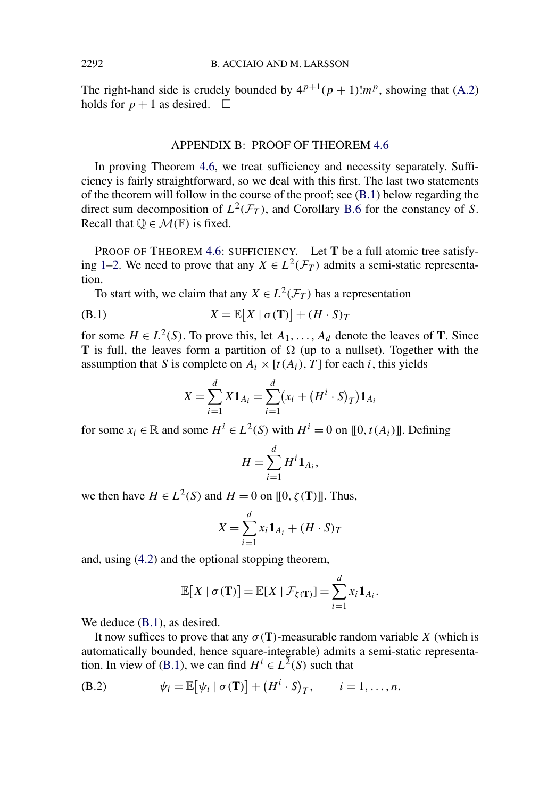<span id="page-23-0"></span>The right-hand side is crudely bounded by  $4^{p+1}(p+1)!m^p$ , showing that [\(A.2\)](#page-22-0) holds for  $p + 1$  as desired.  $\Box$ 

### APPENDIX B: PROOF OF THEOREM [4.6](#page-10-0)

In proving Theorem [4.6,](#page-10-0) we treat sufficiency and necessity separately. Sufficiency is fairly straightforward, so we deal with this first. The last two statements of the theorem will follow in the course of the proof; see (B.1) below regarding the direct sum decomposition of  $L^2(\mathcal{F}_T)$ , and Corollary [B.6](#page-28-0) for the constancy of *S*. Recall that  $\mathbb{O} \in \mathcal{M}(\mathbb{F})$  is fixed.

PROOF OF THEOREM [4.6:](#page-10-0) SUFFICIENCY. Let **T** be a full atomic tree satisfy-ing [1–2.](#page-10-0) We need to prove that any *X* ∈  $L^2(\mathcal{F}_T)$  admits a semi-static representation.

To start with, we claim that any  $X \in L^2(\mathcal{F}_T)$  has a representation

$$
(B.1) \tX = \mathbb{E}[X | \sigma(\mathbf{T})] + (H \cdot S)_T
$$

for some  $H \in L^2(S)$ . To prove this, let  $A_1, \ldots, A_d$  denote the leaves of **T**. Since **T** is full, the leaves form a partition of  $\Omega$  (up to a nullset). Together with the assumption that *S* is complete on  $A_i \times [t(A_i), T]$  for each *i*, this yields

$$
X = \sum_{i=1}^{d} X \mathbf{1}_{A_i} = \sum_{i=1}^{d} (x_i + (H^i \cdot S)_T) \mathbf{1}_{A_i}
$$

for some  $x_i \in \mathbb{R}$  and some  $H^i \in L^2(S)$  with  $H^i = 0$  on  $[0, t(A_i)]$ . Defining

$$
H=\sum_{i=1}^d H^i\mathbf{1}_{A_i},
$$

we then have  $H \in L^2(S)$  and  $H = 0$  on  $[0, \zeta(\mathbf{T})]$ . Thus,

$$
X = \sum_{i=1}^{d} x_i \mathbf{1}_{A_i} + (H \cdot S)_T
$$

and, using [\(4.2\)](#page-9-0) and the optional stopping theorem,

$$
\mathbb{E}[X \mid \sigma(\mathbf{T})] = \mathbb{E}[X \mid \mathcal{F}_{\zeta(\mathbf{T})}] = \sum_{i=1}^{d} x_i \mathbf{1}_{A_i}.
$$

We deduce  $(B.1)$ , as desired.

It now suffices to prove that any  $\sigma(T)$ -measurable random variable *X* (which is automatically bounded, hence square-integrable) admits a semi-static representation. In view of (B.1), we can find  $H^i \in L^{\Sigma}(S)$  such that

(B.2) 
$$
\psi_i = \mathbb{E}[\psi_i \mid \sigma(\mathbf{T})] + (H^i \cdot S)_T, \qquad i = 1, ..., n.
$$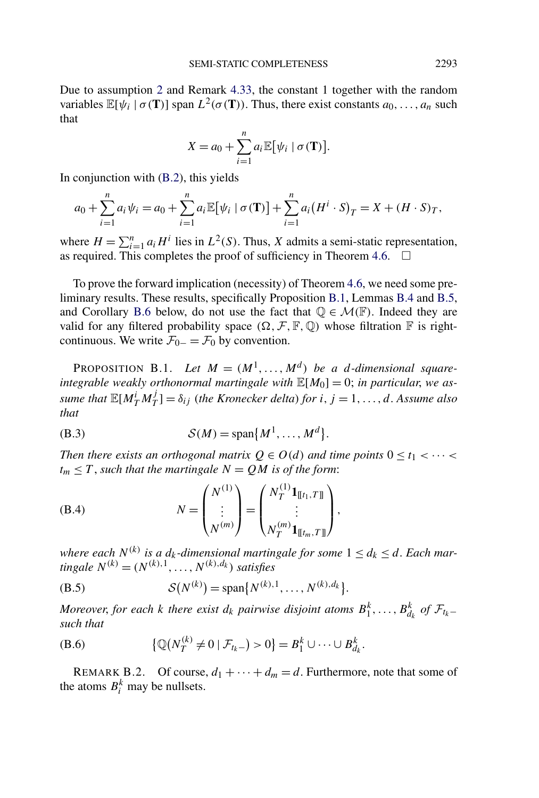<span id="page-24-0"></span>Due to assumption [2](#page-10-0) and Remark [4.33,](#page-8-0) the constant 1 together with the random variables  $\mathbb{E}[\psi_i \mid \sigma(\mathbf{T})]$  span  $L^2(\sigma(\mathbf{T}))$ . Thus, there exist constants  $a_0, \ldots, a_n$  such that

$$
X = a_0 + \sum_{i=1}^n a_i \mathbb{E}[\psi_i \mid \sigma(\mathbf{T})].
$$

In conjunction with [\(B.2\)](#page-23-0), this yields

$$
a_0 + \sum_{i=1}^n a_i \psi_i = a_0 + \sum_{i=1}^n a_i \mathbb{E}[\psi_i \mid \sigma(\mathbf{T})] + \sum_{i=1}^n a_i (H^i \cdot S)_T = X + (H \cdot S)_T,
$$

where  $H = \sum_{i=1}^{n} a_i H^i$  lies in  $L^2(S)$ . Thus, *X* admits a semi-static representation, as required. This completes the proof of sufficiency in Theorem [4.6.](#page-10-0)  $\Box$ 

To prove the forward implication (necessity) of Theorem [4.6,](#page-10-0) we need some preliminary results. These results, specifically Proposition B.1, Lemmas [B.4](#page-28-0) and [B.5,](#page-28-0) and Corollary [B.6](#page-28-0) below, do not use the fact that  $\mathbb{Q} \in \mathcal{M}(\mathbb{F})$ . Indeed they are valid for any filtered probability space  $(\Omega, \mathcal{F}, \mathbb{F}, \mathbb{Q})$  whose filtration  $\mathbb F$  is rightcontinuous. We write  $\mathcal{F}_{0-} = \mathcal{F}_0$  by convention.

PROPOSITION B.1. Let  $M = (M^1, \ldots, M^d)$  be a *d*-dimensional square*integrable weakly orthonormal martingale with*  $\mathbb{E}[M_0] = 0$ ; *in particular, we assume that*  $\mathbb{E}[M_T^i M_T^j] = \delta_{ij}$  (*the Kronecker delta*) *for i*, *j* = 1, ..., *d*. *Assume also that*

$$
(B.3) \tS(M) = span{M1, ..., Md}.
$$

*Then there exists an orthogonal matrix*  $Q \in O(d)$  *and time points*  $0 \le t_1 < \cdots <$  $t_m \leq T$ , such that the martingale  $N = QM$  is of the form:

(B.4) 
$$
N = \begin{pmatrix} N^{(1)} \\ \vdots \\ N^{(m)} \end{pmatrix} = \begin{pmatrix} N_T^{(1)} \mathbf{1}_{\llbracket t_1, T \rrbracket} \\ \vdots \\ N_T^{(m)} \mathbf{1}_{\llbracket t_m, T \rrbracket} \end{pmatrix},
$$

*where each*  $N^{(k)}$  *is a d<sub>k</sub>*-dimensional martingale for some  $1 \leq d_k \leq d$ . Each mar*tingale*  $N^{(k)} = (N^{(k)}, 1, ..., N^{(k), d_k})$  *satisfies* 

(B.5) 
$$
\mathcal{S}(N^{(k)}) = \text{span}\{N^{(k),1}, \ldots, N^{(k),d_k}\}.
$$

*Moreover, for each k there exist d<sub>k</sub> pairwise disjoint atoms*  $B_1^k, \ldots, B_{d_k}^k$  *of*  $\mathcal{F}_{t_k-1}$ *such that*

(B.6) 
$$
\{ \mathbb{Q}(N_T^{(k)} \neq 0 \mid \mathcal{F}_{t_k-}) > 0 \} = B_1^k \cup \dots \cup B_{d_k}^k.
$$

REMARK B.2. Of course,  $d_1 + \cdots + d_m = d$ . Furthermore, note that some of the atoms  $B_i^k$  may be nullsets.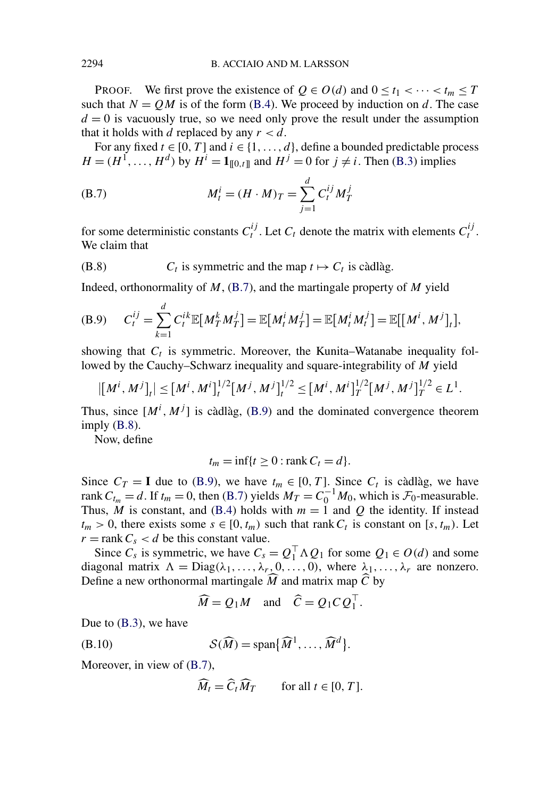PROOF. We first prove the existence of  $Q \in O(d)$  and  $0 \le t_1 < \cdots < t_m \le T$ such that  $N = QM$  is of the form [\(B.4\)](#page-24-0). We proceed by induction on *d*. The case  $d = 0$  is vacuously true, so we need only prove the result under the assumption that it holds with *d* replaced by any  $r < d$ .

For any fixed  $t \in [0, T]$  and  $i \in \{1, ..., d\}$ , define a bounded predictable process  $H = (H^1, \ldots, H^d)$  by  $H^i = \mathbf{1}_{\llbracket 0, t \rrbracket}$  and  $H^j = 0$  for  $j \neq i$ . Then [\(B.3\)](#page-24-0) implies

(B.7) 
$$
M_t^i = (H \cdot M)_T = \sum_{j=1}^d C_t^{ij} M_T^j
$$

for some deterministic constants  $C_t^{ij}$ . Let  $C_t$  denote the matrix with elements  $C_t^{ij}$ . We claim that

(B.8) 
$$
C_t
$$
 is symmetric and the map  $t \mapsto C_t$  is càdlàg.

Indeed, orthonormality of *M*, (B.7), and the martingale property of *M* yield

(B.9) 
$$
C_t^{ij} = \sum_{k=1}^d C_t^{ik} \mathbb{E}[M_T^k M_T^j] = \mathbb{E}[M_t^i M_T^j] = \mathbb{E}[M_t^i M_t^j] = \mathbb{E}[[M^i, M^j]_t],
$$

showing that  $C_t$  is symmetric. Moreover, the Kunita–Watanabe inequality followed by the Cauchy–Schwarz inequality and square-integrability of *M* yield

$$
|[M^{i}, M^{j}]_{t}| \leq [M^{i}, M^{i}]_{t}^{1/2} [M^{j}, M^{j}]_{t}^{1/2} \leq [M^{i}, M^{i}]_{T}^{1/2} [M^{j}, M^{j}]_{T}^{1/2} \in L^{1}.
$$

Thus, since  $[M^i, M^j]$  is càdlàg, (B.9) and the dominated convergence theorem imply (B.8).

Now, define

$$
t_m = \inf\{t \ge 0 : \text{rank } C_t = d\}.
$$

Since  $C_T = I$  due to (B.9), we have  $t_m \in [0, T]$ . Since  $C_t$  is càdlàg, we have rank  $C_{t_m} = d$ . If  $t_m = 0$ , then (B.7) yields  $M_T = C_0^{-1} M_0$ , which is  $\mathcal{F}_0$ -measurable. Thus, *M* is constant, and [\(B.4\)](#page-24-0) holds with  $m = 1$  and *Q* the identity. If instead  $t_m > 0$ , there exists some  $s \in [0, t_m)$  such that rank  $C_t$  is constant on [*s*,  $t_m$ ). Let  $r = \text{rank } C_s < d$  be this constant value.

Since  $C_s$  is symmetric, we have  $C_s = Q_1^\top \Lambda Q_1$  for some  $Q_1 \in O(d)$  and some diagonal matrix  $\Lambda = \text{Diag}(\lambda_1, \ldots, \lambda_r, 0, \ldots, 0)$ , where  $\lambda_1, \ldots, \lambda_r$  are nonzero. Define a new orthonormal martingale  $\widehat{M}$  and matrix map  $\widehat{C}$  by

$$
\widehat{M} = Q_1 M \quad \text{and} \quad \widehat{C} = Q_1 C Q_1^{\top}.
$$

Due to [\(B.3\)](#page-24-0), we have

$$
(B.10) \tS(\widehat{M}) = \text{span}\{\widehat{M}^1, \ldots, \widehat{M}^d\}.
$$

Moreover, in view of (B.7),

$$
\widehat{M}_t = \widehat{C}_t \widehat{M}_T \qquad \text{for all } t \in [0, T].
$$

<span id="page-25-0"></span>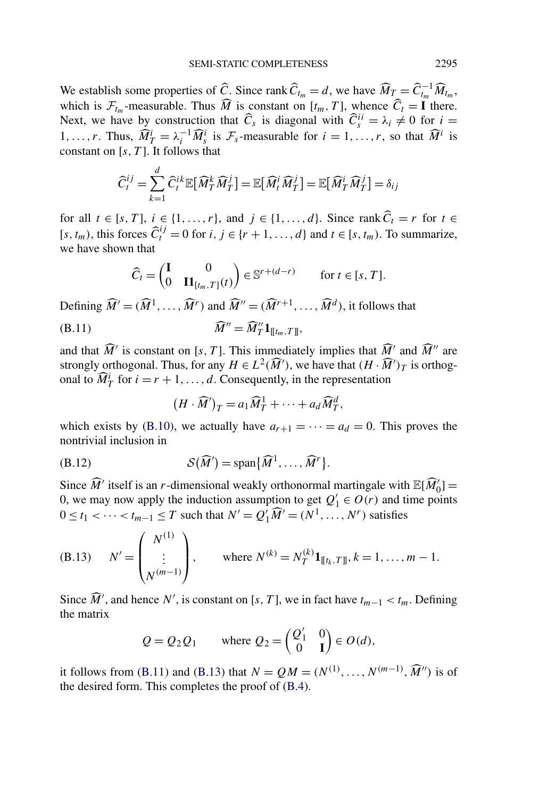<span id="page-26-0"></span>We establish some properties of  $\hat{C}$ . Since rank  $\hat{C}_{t_m} = d$ , we have  $\widehat{M}_T = \widehat{C}_{t_m}^{-1} \widehat{M}_{t_m}$ , which is  $\mathcal{F}_{t_m}$ -measurable. Thus  $\widehat{M}$  is constant on  $[t_m, T]$ , whence  $\widehat{C}_t = \mathbf{I}$  there. Next, we have by construction that  $\hat{C}_s$  is diagonal with  $\hat{C}_s^{ii} = \lambda_i \neq 0$  for  $i =$ 1,..., *r*. Thus,  $\widehat{M}_T^i = \lambda_i^{-1} \widehat{M}_s^i$  is  $\mathcal{F}_s$ -measurable for  $i = 1, ..., r$ , so that  $\widehat{M}^i$  is constant on [*s,T* ]. It follows that

$$
\widehat{C}_t^{ij} = \sum_{k=1}^d \widehat{C}_t^{ik} \mathbb{E} \big[ \widehat{M}_T^k \widehat{M}_T^j \big] = \mathbb{E} \big[ \widehat{M}_t^i \widehat{M}_T^j \big] = \mathbb{E} \big[ \widehat{M}_T^i \widehat{M}_T^j \big] = \delta_{ij}
$$

for all  $t \in [s, T]$ ,  $i \in \{1, \ldots, r\}$ , and  $j \in \{1, \ldots, d\}$ . Since rank  $\widehat{C}_t = r$  for  $t \in$  $[s, t_m)$ , this forces  $\hat{C}_t^{ij} = 0$  for  $i, j \in \{r+1, ..., d\}$  and  $t \in [s, t_m)$ . To summarize, we have shown that

$$
\widehat{C}_t = \begin{pmatrix} \mathbf{I} & 0 \\ 0 & \mathbf{II}_{[t_m, T]}(t) \end{pmatrix} \in \mathbb{S}^{r + (d - r)} \qquad \text{for } t \in [s, T].
$$

Defining  $\widehat{M}' = (\widehat{M}^1, \ldots, \widehat{M}^r)$  and  $\widehat{M}'' = (\widehat{M}^{r+1}, \ldots, \widehat{M}^d)$ , it follows that

$$
\widehat{M}'' = \widehat{M}_T'' \mathbf{1}_{[[t_m, T]]},
$$

and that  $\widehat{M}'$  is constant on [s, T]. This immediately implies that  $\widehat{M}'$  and  $\widehat{M}''$  are strongly orthogonal. Thus, for any  $H \in L^2(\widehat{M}')$ , we have that  $(H \cdot \widehat{M}')_T$  is orthogonal to  $\widehat{M}_T^i$  for  $i = r + 1, \ldots, d$ . Consequently, in the representation

$$
(H \cdot \widehat{M}')_T = a_1 \widehat{M}_T^1 + \cdots + a_d \widehat{M}_T^d,
$$

which exists by [\(B.10\)](#page-25-0), we actually have  $a_{r+1} = \cdots = a_d = 0$ . This proves the nontrivial inclusion in

$$
(B.12) \tS(\widehat{M}') = \mathrm{span}\{\widehat{M}^1,\ldots,\widehat{M}'\}.
$$

Since  $\widehat{M}'$  itself is an *r*-dimensional weakly orthonormal martingale with  $\mathbb{E}[\widehat{M}'_0] =$ 0, we may now apply the induction assumption to get  $Q'_1 \in O(r)$  and time points  $0 \le t_1$  *< ⋅ ⋅ ⋅ < t<sub>m−1</sub>*  $\le$  *T* such that  $N' = Q'_1 \widehat{M}' = (N^1, \ldots, N^r)$  satisfies

(B.13) 
$$
N' = \begin{pmatrix} N^{(1)} \\ \vdots \\ N^{(m-1)} \end{pmatrix}, \text{ where } N^{(k)} = N_T^{(k)} \mathbf{1}_{[[t_k, T]], k = 1, ..., m - 1.}
$$

Since  $\widehat{M}'$ , and hence  $N'$ , is constant on [*s*, *T*], we in fact have  $t_{m-1} < t_m$ . Defining the matrix

$$
Q = Q_2 Q_1
$$
 where  $Q_2 = \begin{pmatrix} Q'_1 & 0 \\ 0 & I \end{pmatrix} \in O(d)$ ,

it follows from (B.11) and (B.13) that  $N = QM = (N^{(1)}, \dots, N^{(m-1)}, \widehat{M})$  is of the desired form. This completes the proof of [\(B.4\)](#page-24-0).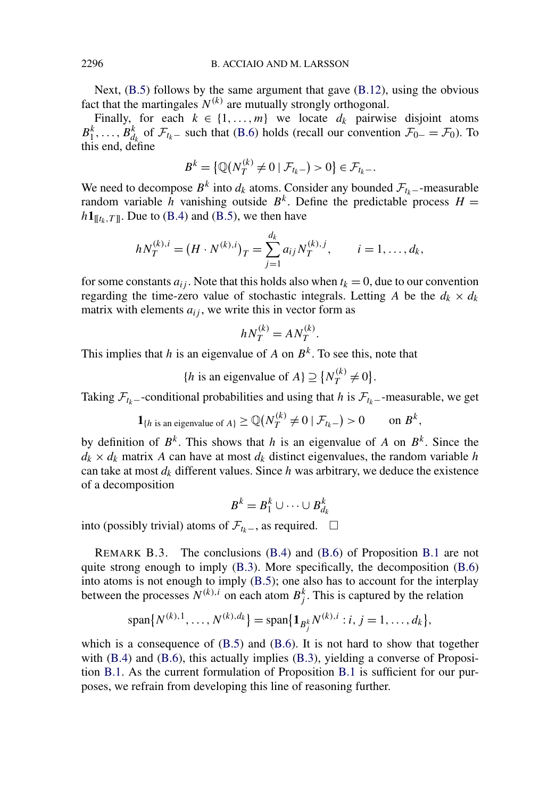Next, [\(B.5\)](#page-24-0) follows by the same argument that gave [\(B.12\)](#page-26-0), using the obvious fact that the martingales  $N^{(k)}$  are mutually strongly orthogonal.

Finally, for each  $k \in \{1, ..., m\}$  we locate  $d_k$  pairwise disjoint atoms  $B_1^k, \ldots, B_{d_k}^k$  of  $\mathcal{F}_{t_k-}$  such that [\(B.6\)](#page-24-0) holds (recall our convention  $\mathcal{F}_{0-} = \mathcal{F}_0$ ). To this end, define

$$
B^{k} = \{ \mathbb{Q}(N_T^{(k)} \neq 0 \mid \mathcal{F}_{t_k-}) > 0 \} \in \mathcal{F}_{t_k-}.
$$

We need to decompose  $B^k$  into  $d_k$  atoms. Consider any bounded  $\mathcal{F}_{t_k-}$ -measurable random variable  $\hat{h}$  vanishing outside  $B^k$ . Define the predictable process  $H =$  $h1_{[[t_k, T]]}$ . Due to [\(B.4\)](#page-24-0) and [\(B.5\)](#page-24-0), we then have

$$
h N_T^{(k),i} = (H \cdot N^{(k),i})_T = \sum_{j=1}^{d_k} a_{ij} N_T^{(k),j}, \qquad i = 1, \ldots, d_k,
$$

for some constants  $a_{ij}$ . Note that this holds also when  $t_k = 0$ , due to our convention regarding the time-zero value of stochastic integrals. Letting *A* be the  $d_k \times d_k$ matrix with elements  $a_{ij}$ , we write this in vector form as

$$
h N_T^{(k)} = A N_T^{(k)}.
$$

This implies that *h* is an eigenvalue of *A* on  $B^k$ . To see this, note that

{*h* is an eigenvalue of  $A$ }  $\supseteq$  { $N_T^{(k)} \neq 0$ }.

Taking  $\mathcal{F}_{t_k}$ −-conditional probabilities and using that *h* is  $\mathcal{F}_{t_k}$ −-measurable, we get

$$
\mathbf{1}_{\{h \text{ is an eigenvalue of } A\}} \ge \mathbb{Q}(N_T^{(k)} \neq 0 \mid \mathcal{F}_{t_k-}) > 0 \quad \text{on } B^k,
$$

by definition of  $B^k$ . This shows that *h* is an eigenvalue of *A* on  $B^k$ . Since the  $d_k \times d_k$  matrix *A* can have at most  $d_k$  distinct eigenvalues, the random variable *h* can take at most  $d_k$  different values. Since  $h$  was arbitrary, we deduce the existence of a decomposition

$$
B^k = B_1^k \cup \cdots \cup B_{d_k}^k
$$

into (possibly trivial) atoms of  $\mathcal{F}_{t_k-}$ , as required.  $□$ 

REMARK B.3. The conclusions [\(B.4\)](#page-24-0) and [\(B.6\)](#page-24-0) of Proposition [B.1](#page-24-0) are not quite strong enough to imply  $(B.3)$ . More specifically, the decomposition  $(B.6)$ into atoms is not enough to imply [\(B.5\)](#page-24-0); one also has to account for the interplay between the processes  $N^{(k),i}$  on each atom  $B_j^k$ . This is captured by the relation

$$
\text{span}\{N^{(k),1},\ldots,N^{(k),d_k}\}=\text{span}\{\mathbf{1}_{B_j^k}N^{(k),i}:i,j=1,\ldots,d_k\},\
$$

which is a consequence of  $(B.5)$  and  $(B.6)$ . It is not hard to show that together with [\(B.4\)](#page-24-0) and [\(B.6\)](#page-24-0), this actually implies [\(B.3\)](#page-24-0), yielding a converse of Proposition [B.1.](#page-24-0) As the current formulation of Proposition [B.1](#page-24-0) is sufficient for our purposes, we refrain from developing this line of reasoning further.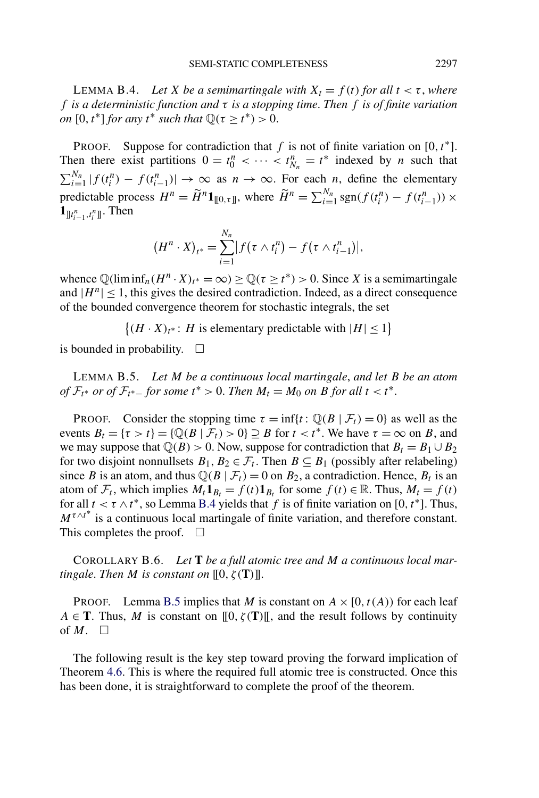<span id="page-28-0"></span>**LEMMA B.4.** *Let X be a semimartingale with*  $X_t = f(t)$  *for all*  $t < \tau$ *, where f is a deterministic function and τ is a stopping time*. *Then f is of finite variation on*  $[0, t^*]$  *for any*  $t^*$  *such that*  $\mathbb{O}(\tau > t^*) > 0$ .

PROOF. Suppose for contradiction that *f* is not of finite variation on [0*, t*∗]. Then there exist partitions  $0 = t_0^n < \cdots < t_{N_n}^n = t^*$  indexed by *n* such that  $\sum_{i=1}^{N_n} |f(t_i^n) - f(t_{i-1}^n)| \to \infty$  as  $n \to \infty$ . For each *n*, define the elementary predictable process  $H^n = \widetilde{H}^n \mathbf{1}_{[[0,\tau]]}$ , where  $\widetilde{H}^n = \sum_{i=1}^{N_n} \text{sgn}(f(t_i^n) - f(t_{i-1}^n)) \times$  $\mathbf{1}_{\llbracket t_{i-1}^n, t_i^n \rrbracket}$ . Then

$$
(H^{n} \cdot X)_{t^{*}} = \sum_{i=1}^{N_{n}} |f(\tau \wedge t_{i}^{n}) - f(\tau \wedge t_{i-1}^{n})|,
$$

whence  $\mathbb{Q}(\liminf_n (H^n \cdot X)_t^* = \infty) \geq \mathbb{Q}(\tau \geq t^*) > 0$ . Since *X* is a semimartingale and  $|H^n| \leq 1$ , this gives the desired contradiction. Indeed, as a direct consequence of the bounded convergence theorem for stochastic integrals, the set

 $\{(H \cdot X)_{t^*} : H \text{ is elementary predictable with } |H| \leq 1\}$ 

is bounded in probability.  $\square$ 

LEMMA B.5. *Let M be a continuous local martingale*, *and let B be an atom of*  $\mathcal{F}_{t^*}$  *or of*  $\mathcal{F}_{t^*-}$  *for some*  $t^* > 0$ *. Then*  $M_t = M_0$  *on B for all*  $t < t^*$ *.* 

PROOF. Consider the stopping time  $\tau = \inf\{t : \mathbb{Q}(B | \mathcal{F}_t) = 0\}$  as well as the events  $B_t = \{\tau > t\} = \{Q(B | \mathcal{F}_t) > 0\} \supseteq B$  for  $t < t^*$ . We have  $\tau = \infty$  on *B*, and we may suppose that  $\mathbb{Q}(B) > 0$ . Now, suppose for contradiction that  $B_t = B_1 \cup B_2$ for two disjoint nonnullsets  $B_1, B_2 \in \mathcal{F}_t$ . Then  $B \subseteq B_1$  (possibly after relabeling) since *B* is an atom, and thus  $\mathbb{Q}(B | \mathcal{F}_t) = 0$  on  $B_2$ , a contradiction. Hence,  $B_t$  is an atom of  $\mathcal{F}_t$ , which implies  $M_t \mathbf{1}_{B_t} = f(t) \mathbf{1}_{B_t}$  for some  $f(t) \in \mathbb{R}$ . Thus,  $M_t = f(t)$ for all  $t < \tau \wedge t^*$ , so Lemma B.4 yields that f is of finite variation on [0,  $t^*$ ]. Thus,  $M^{\tau \wedge t^*}$  is a continuous local martingale of finite variation, and therefore constant. This completes the proof.  $\Box$ 

COROLLARY B.6. *Let* **T** *be a full atomic tree and M a continuous local martingale. Then M is constant on*  $[0, \zeta(\mathbf{T})]$ .

**PROOF.** Lemma B.5 implies that *M* is constant on  $A \times [0, t(A))$  for each leaf  $A \in$ **T**. Thus, *M* is constant on  $[0, \zeta(\mathbf{T})]$ , and the result follows by continuity of  $M$ .  $\square$ 

The following result is the key step toward proving the forward implication of Theorem [4.6.](#page-10-0) This is where the required full atomic tree is constructed. Once this has been done, it is straightforward to complete the proof of the theorem.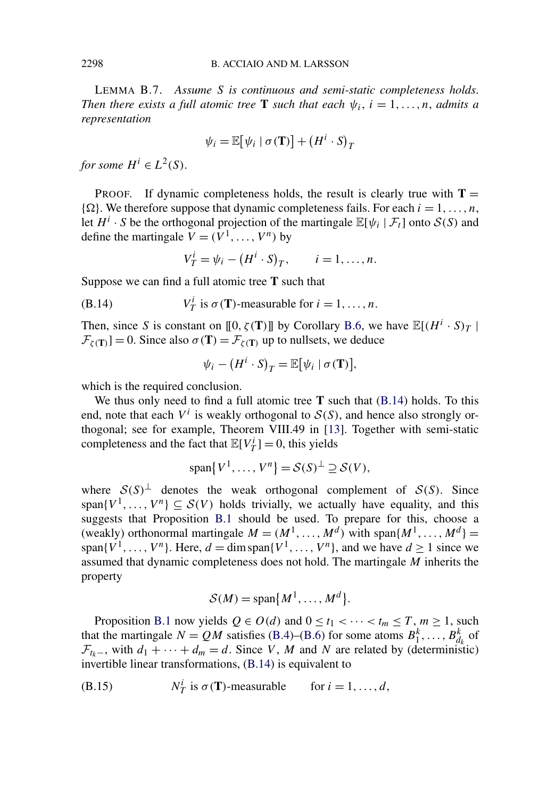<span id="page-29-0"></span>LEMMA B.7. *Assume S is continuous and semi-static completeness holds*. *Then there exists a full atomic tree* **T** *such that each*  $\psi_i$ ,  $i = 1, \ldots, n$ , *admits a representation*

$$
\psi_i = \mathbb{E}[\psi_i \mid \sigma(\mathbf{T})] + (H^i \cdot S)_T
$$

*for some*  $H^i \in L^2(S)$ .

**PROOF.** If dynamic completeness holds, the result is clearly true with  $T =$  $\{\Omega\}$ . We therefore suppose that dynamic completeness fails. For each  $i = 1, \ldots, n$ , let  $H^i \cdot S$  be the orthogonal projection of the martingale  $\mathbb{E}[\psi_i | \mathcal{F}_t]$  onto  $S(S)$  and define the martingale  $V = (V^1, \dots, V^n)$  by

$$
V_T^i = \psi_i - (H^i \cdot S)_T, \qquad i = 1, \dots, n.
$$

Suppose we can find a full atomic tree **T** such that

(B.14) 
$$
V_T^i
$$
 is  $\sigma(\mathbf{T})$ -measurable for  $i = 1, ..., n$ .

Then, since *S* is constant on [[0,  $\zeta(T)$ ]] by Corollary [B.6,](#page-28-0) we have  $\mathbb{E}[(H^i \cdot S)_T]$  $\mathcal{F}_{\zeta(\mathbf{T})}$  = 0. Since also  $\sigma(\mathbf{T}) = \mathcal{F}_{\zeta(\mathbf{T})}$  up to nullsets, we deduce

$$
\psi_i - (H^i \cdot S)_T = \mathbb{E}[\psi_i \mid \sigma(\mathbf{T})],
$$

which is the required conclusion.

We thus only need to find a full atomic tree **T** such that (B.14) holds. To this end, note that each  $V^i$  is weakly orthogonal to  $S(S)$ , and hence also strongly orthogonal; see for example, Theorem VIII.49 in [\[13\]](#page-34-0). Together with semi-static completeness and the fact that  $\mathbb{E}[V^i_T] = 0$ , this yields

$$
\text{span}\{V^1,\ldots,V^n\}=\mathcal{S}(S)^{\perp}\supseteq\mathcal{S}(V),
$$

where  $S(S)^{\perp}$  denotes the weak orthogonal complement of  $S(S)$ . Since span $\{V^1, \ldots, V^n\} \subseteq \mathcal{S}(V)$  holds trivially, we actually have equality, and this suggests that Proposition [B.1](#page-24-0) should be used. To prepare for this, choose a (weakly) orthonormal martingale  $M = (M^1, \ldots, M^d)$  with span $\{M^1, \ldots, M^d\}$ span $\{V^1, \ldots, V^n\}$ . Here,  $d = \dim \text{span}\{V^1, \ldots, V^n\}$ , and we have  $d \ge 1$  since we assumed that dynamic completeness does not hold. The martingale *M* inherits the property

$$
\mathcal{S}(M) = \text{span}\{M^1, \ldots, M^d\}.
$$

Proposition [B.1](#page-24-0) now yields  $Q \in O(d)$  and  $0 \le t_1 < \cdots < t_m \le T$ ,  $m \ge 1$ , such that the martingale  $N = QM$  satisfies [\(B.4\)](#page-24-0)–[\(B.6\)](#page-24-0) for some atoms  $B_1^k, \ldots, B_{d_k}^k$  of  $\mathcal{F}_{t_k-}$ , with  $d_1 + \cdots + d_m = d$ . Since *V*, *M* and *N* are related by (deterministic) invertible linear transformations, (B.14) is equivalent to

(B.15) 
$$
N_T^i
$$
 is  $\sigma(\mathbf{T})$ -measurable for  $i = 1, ..., d$ ,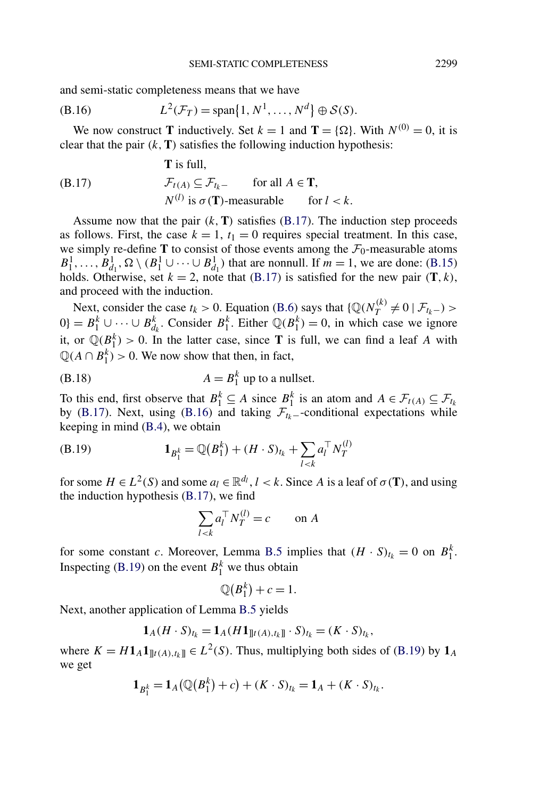<span id="page-30-0"></span>and semi-static completeness means that we have

$$
(B.16) \tL2(\mathcal{F}_T) = span{1, N1, ..., Nd} \oplus \mathcal{S}(S).
$$

We now construct **T** inductively. Set  $k = 1$  and **T** = { $\Omega$ }. With  $N^{(0)} = 0$ , it is clear that the pair  $(k, T)$  satisfies the following induction hypothesis:

(B.17)

\n
$$
\mathbf{T} \text{ is full,}
$$
\n
$$
\mathcal{F}_{t(A)} \subseteq \mathcal{F}_{t_k-} \qquad \text{for all } A \in \mathbf{T},
$$
\n
$$
N^{(l)} \text{ is } \sigma(\mathbf{T})\text{-measurable} \qquad \text{for } l < k.
$$

Assume now that the pair  $(k, T)$  satisfies  $(B.17)$ . The induction step proceeds as follows. First, the case  $k = 1$ ,  $t_1 = 0$  requires special treatment. In this case, we simply re-define **T** to consist of those events among the  $\mathcal{F}_0$ -measurable atoms  $B_1^1, \ldots, B_{d_1}^1, \Omega \setminus (B_1^1 \cup \cdots \cup B_{d_1}^1)$  that are nonnull. If  $m = 1$ , we are done: [\(B.15\)](#page-29-0) holds. Otherwise, set  $k = 2$ , note that (B.17) is satisfied for the new pair  $(T, k)$ , and proceed with the induction.

Next, consider the case  $t_k > 0$ . Equation [\(B.6\)](#page-24-0) says that  $\{ \mathbb{Q}(N_T^{(k)} \neq 0 \mid \mathcal{F}_{t_k-}) >$  $0$ } =  $B_1^k \cup \cdots \cup B_{d_k}^k$ . Consider  $B_1^k$ . Either  $\mathbb{Q}(B_1^k) = 0$ , in which case we ignore it, or  $\mathbb{Q}(B_1^k) > 0$ . In the latter case, since **T** is full, we can find a leaf *A* with  $\mathbb{Q}(A \cap B_1^k) > 0$ . We now show that then, in fact,

(B.18) 
$$
A = B_1^k \text{ up to a nullset.}
$$

To this end, first observe that  $B_1^k \subseteq A$  since  $B_1^k$  is an atom and  $A \in \mathcal{F}_{t(A)} \subseteq \mathcal{F}_{t_k}$ by (B.17). Next, using (B.16) and taking  $\mathcal{F}_{t_k-}$ -conditional expectations while keeping in mind [\(B.4\)](#page-24-0), we obtain

(B.19) 
$$
\mathbf{1}_{B_1^k} = \mathbb{Q}(B_1^k) + (H \cdot S)_{t_k} + \sum_{l < k} a_l^\top N_T^{(l)}
$$

for some  $H \in L^2(S)$  and some  $a_l \in \mathbb{R}^{d_l}$ ,  $l \lt k$ . Since *A* is a leaf of  $\sigma(\mathbf{T})$ , and using the induction hypothesis (B.17), we find

$$
\sum_{l < k} a_l^\top N_T^{(l)} = c \qquad \text{on } A
$$

for some constant *c*. Moreover, Lemma [B.5](#page-28-0) implies that  $(H \cdot S)_{t_k} = 0$  on  $B_1^k$ . Inspecting (B.19) on the event  $B_1^k$  we thus obtain

$$
\mathbb{Q}(B_1^k) + c = 1.
$$

Next, another application of Lemma [B.5](#page-28-0) yields

$$
\mathbf{1}_A(H \cdot S)_{t_k} = \mathbf{1}_A(H \mathbf{1}_{\llbracket t(A), t_k \rrbracket} \cdot S)_{t_k} = (K \cdot S)_{t_k},
$$

where  $K = H1_A1_{\mathbb{I}[(A),t_k]} \in L^2(S)$ . Thus, multiplying both sides of (B.19) by  $1_A$ we get

$$
\mathbf{1}_{B_1^k} = \mathbf{1}_A (\mathbb{Q}(B_1^k) + c) + (K \cdot S)_{t_k} = \mathbf{1}_A + (K \cdot S)_{t_k}.
$$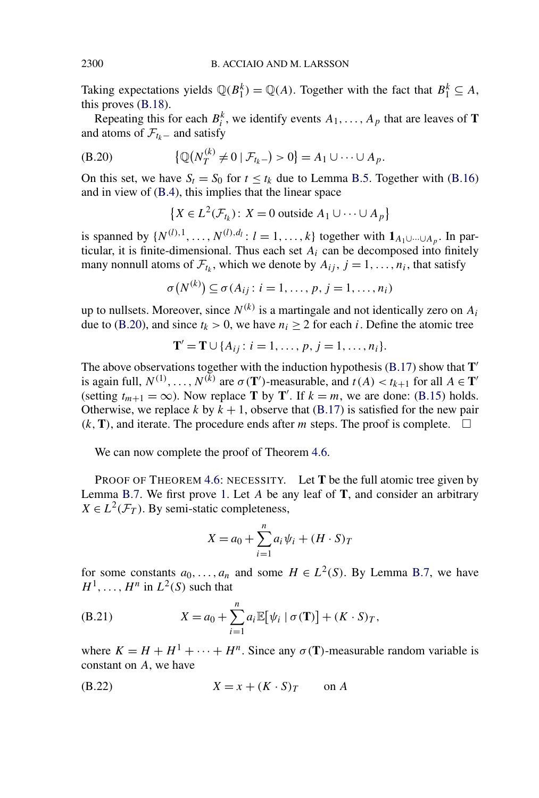Taking expectations yields  $\mathbb{Q}(B_1^k) = \mathbb{Q}(A)$ . Together with the fact that  $B_1^k \subseteq A$ , this proves [\(B.18\)](#page-30-0).

Repeating this for each  $B_i^k$ , we identify events  $A_1, \ldots, A_p$  that are leaves of **T** and atoms of  $\mathcal{F}_{t_k-}$  and satisfy

(B.20) 
$$
\{ \mathbb{Q}(N_T^{(k)} \neq 0 \mid \mathcal{F}_{t_k-}) > 0 \} = A_1 \cup \dots \cup A_p.
$$

On this set, we have  $S_t = S_0$  for  $t \le t_k$  due to Lemma [B.5.](#page-28-0) Together with [\(B.16\)](#page-30-0) and in view of [\(B.4\)](#page-24-0), this implies that the linear space

$$
\{X \in L^2(\mathcal{F}_{t_k}) : X = 0 \text{ outside } A_1 \cup \dots \cup A_p\}
$$

is spanned by  $\{N^{(l),1}, \ldots, N^{(l),d_l} : l = 1, \ldots, k\}$  together with  $\mathbf{1}_{A_1 \cup \cdots \cup A_p}$ . In particular, it is finite-dimensional. Thus each set  $A_i$  can be decomposed into finitely many nonnull atoms of  $\mathcal{F}_{t_k}$ , which we denote by  $A_{ij}$ ,  $j = 1, \ldots, n_i$ , that satisfy

$$
\sigma(N^{(k)}) \subseteq \sigma(A_{ij}: i = 1, \ldots, p, j = 1, \ldots, n_i)
$$

up to nullsets. Moreover, since  $N^{(k)}$  is a martingale and not identically zero on  $A_i$ due to (B.20), and since  $t_k > 0$ , we have  $n_i \ge 2$  for each *i*. Define the atomic tree

$$
\mathbf{T}' = \mathbf{T} \cup \{A_{ij}: i = 1, ..., p, j = 1, ..., n_i\}.
$$

The above observations together with the induction hypothesis [\(B.17\)](#page-30-0) show that **T** is again full,  $N^{(1)}, \ldots, N^{(k)}$  are  $\sigma(\mathbf{T}')$ -measurable, and  $t(A) < t_{k+1}$  for all  $A \in \mathbf{T}'$ (setting  $t_{m+1} = \infty$ ). Now replace **T** by **T**'. If  $k = m$ , we are done: [\(B.15\)](#page-29-0) holds. Otherwise, we replace  $k$  by  $k + 1$ , observe that  $(B.17)$  is satisfied for the new pair  $(k, T)$ , and iterate. The procedure ends after *m* steps. The proof is complete.  $\Box$ 

We can now complete the proof of Theorem [4.6.](#page-10-0)

PROOF OF THEOREM [4.6:](#page-10-0) NECESSITY. Let **T** be the full atomic tree given by Lemma [B.7.](#page-29-0) We first prove [1.](#page-10-0) Let *A* be any leaf of **T**, and consider an arbitrary  $X \in L^2(\mathcal{F}_T)$ . By semi-static completeness,

$$
X = a_0 + \sum_{i=1}^{n} a_i \psi_i + (H \cdot S)_T
$$

for some constants  $a_0, \ldots, a_n$  and some  $H \in L^2(S)$ . By Lemma [B.7,](#page-29-0) we have  $H^1, \ldots, H^n$  in  $L^2(S)$  such that

$$
(B.21) \t\t X = a_0 + \sum_{i=1}^n a_i \mathbb{E}[\psi_i \mid \sigma(\mathbf{T})] + (K \cdot S)_T,
$$

where  $K = H + H^1 + \cdots + H^n$ . Since any  $\sigma(\mathbf{T})$ -measurable random variable is constant on *A*, we have

$$
(B.22) \t\t X = x + (K \cdot S)_T \t on A
$$

<span id="page-31-0"></span>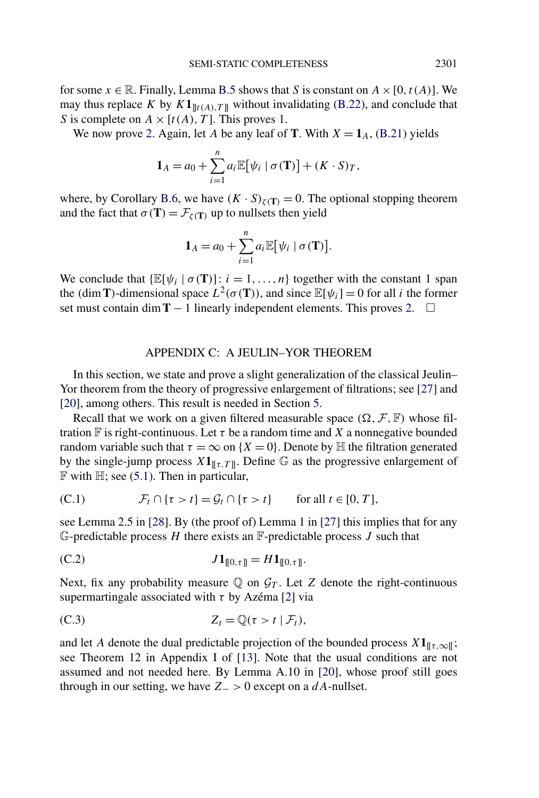<span id="page-32-0"></span>for some  $x \in \mathbb{R}$ . Finally, Lemma [B.5](#page-28-0) shows that *S* is constant on  $A \times [0, t(A)]$ . We may thus replace *K* by  $K1_{\mathbb{I}t(A),T\mathbb{I}}$  without invalidating [\(B.22\)](#page-31-0), and conclude that *S* is complete on  $A \times [t(A), T]$ . This proves [1.](#page-10-0)

We now prove [2.](#page-10-0) Again, let *A* be any leaf of **T**. With  $X = 1_A$ , [\(B.21\)](#page-31-0) yields

$$
\mathbf{1}_A = a_0 + \sum_{i=1}^n a_i \mathbb{E}[\psi_i \mid \sigma(\mathbf{T})] + (K \cdot S)_T,
$$

where, by Corollary [B.6,](#page-28-0) we have  $(K \cdot S)_{\zeta(T)} = 0$ . The optional stopping theorem and the fact that  $\sigma(\mathbf{T}) = \mathcal{F}_{\zeta(\mathbf{T})}$  up to nullsets then yield

$$
\mathbf{1}_A = a_0 + \sum_{i=1}^n a_i \mathbb{E}[\psi_i \mid \sigma(\mathbf{T})].
$$

We conclude that  $\{\mathbb{E}[\psi_i \mid \sigma(\mathbf{T})]: i = 1, \ldots, n\}$  together with the constant 1 span the (dim **T**)-dimensional space  $L^2(\sigma(T))$ , and since  $\mathbb{E}[\psi_i] = 0$  for all *i* the former set must contain dim **T** − 1 linearly independent elements. This proves [2.](#page-10-0)  $\Box$ 

#### APPENDIX C: A JEULIN–YOR THEOREM

In this section, we state and prove a slight generalization of the classical Jeulin– Yor theorem from the theory of progressive enlargement of filtrations; see [\[27\]](#page-34-0) and [\[20\]](#page-34-0), among others. This result is needed in Section [5.](#page-14-0)

Recall that we work on a given filtered measurable space  $(\Omega, \mathcal{F}, \mathbb{F})$  whose filtration  $\mathbb F$  is right-continuous. Let  $\tau$  be a random time and  $X$  a nonnegative bounded random variable such that  $\tau = \infty$  on  $\{X = 0\}$ . Denote by  $\mathbb H$  the filtration generated by the single-jump process  $X1_{\mathbb{F}_{\tau},T\mathbb{F}}$ . Define G as the progressive enlargement of  $\mathbb F$  with  $\mathbb H$ ; see [\(5.1\)](#page-14-0). Then in particular,

(C.1) 
$$
\mathcal{F}_t \cap \{\tau > t\} = \mathcal{G}_t \cap \{\tau > t\} \quad \text{for all } t \in [0, T],
$$

see Lemma 2.5 in [\[28\]](#page-34-0). By (the proof of) Lemma 1 in [\[27\]](#page-34-0) this implies that for any G-predictable process  $H$  there exists an  $\mathbb{F}$ -predictable process  $J$  such that

(C.2) 
$$
J\mathbf{1}_{\llbracket 0,\tau\rrbracket} = H\mathbf{1}_{\llbracket 0,\tau\rrbracket}.
$$

Next, fix any probability measure  $\mathbb Q$  on  $\mathcal G_T$ . Let *Z* denote the right-continuous supermartingale associated with *τ* by Azéma [\[2\]](#page-33-0) via

(C.3) 
$$
Z_t = \mathbb{Q}(\tau > t \mid \mathcal{F}_t),
$$

and let *A* denote the dual predictable projection of the bounded process  $X1_{\mathbb{F}^7,\infty}$ see Theorem 12 in Appendix I of [\[13\]](#page-34-0). Note that the usual conditions are not assumed and not needed here. By Lemma A.10 in [\[20\]](#page-34-0), whose proof still goes through in our setting, we have  $Z_$  > 0 except on a *dA*-nullset.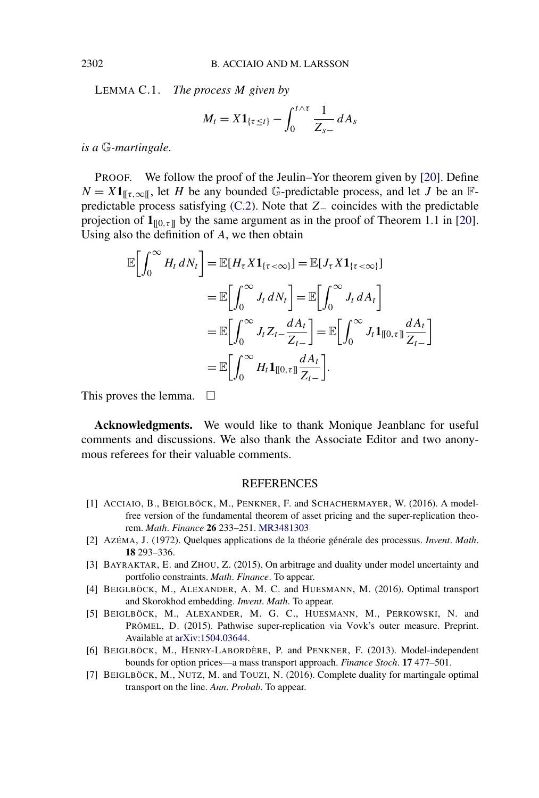<span id="page-33-0"></span>LEMMA C.1. *The process M given by*

$$
M_t = X\mathbf{1}_{\{\tau \le t\}} - \int_0^{t \wedge \tau} \frac{1}{Z_{s-}} dA_s
$$

*is a* G*-martingale*.

PROOF. We follow the proof of the Jeulin–Yor theorem given by [\[20\]](#page-34-0). Define  $N = X1_{\text{H}\tau,\infty\text{H}}$ , let *H* be any bounded G-predictable process, and let *J* be an Fpredictable process satisfying [\(C.2\)](#page-32-0). Note that *Z*− coincides with the predictable projection of  $\mathbf{1}_{\llbracket 0,\tau \rrbracket}$  by the same argument as in the proof of Theorem 1.1 in [\[20\]](#page-34-0). Using also the definition of *A*, we then obtain

$$
\mathbb{E}\bigg[\int_0^\infty H_t \, dN_t\bigg] = \mathbb{E}[H_\tau X \mathbf{1}_{\{\tau < \infty\}}] = \mathbb{E}[J_\tau X \mathbf{1}_{\{\tau < \infty\}}]
$$
\n
$$
= \mathbb{E}\bigg[\int_0^\infty J_t \, dN_t\bigg] = \mathbb{E}\bigg[\int_0^\infty J_t \, dA_t\bigg]
$$
\n
$$
= \mathbb{E}\bigg[\int_0^\infty J_t Z_{t-} \frac{dA_t}{Z_{t-}}\bigg] = \mathbb{E}\bigg[\int_0^\infty J_t \mathbf{1}_{\|[0,\tau]\|} \frac{dA_t}{Z_{t-}}\bigg]
$$
\n
$$
= \mathbb{E}\bigg[\int_0^\infty H_t \mathbf{1}_{\|[0,\tau]\|} \frac{dA_t}{Z_{t-}}\bigg].
$$

This proves the lemma.  $\Box$ 

**Acknowledgments.** We would like to thank Monique Jeanblanc for useful comments and discussions. We also thank the Associate Editor and two anonymous referees for their valuable comments.

#### **REFERENCES**

- [1] ACCIAIO, B., BEIGLBÖCK, M., PENKNER, F. and SCHACHERMAYER, W. (2016). A modelfree version of the fundamental theorem of asset pricing and the super-replication theorem. *Math*. *Finance* **26** 233–251. [MR3481303](http://www.ams.org/mathscinet-getitem?mr=3481303)
- [2] AZÉMA, J. (1972). Quelques applications de la théorie générale des processus. *Invent*. *Math*. **18** 293–336.
- [3] BAYRAKTAR, E. and ZHOU, Z. (2015). On arbitrage and duality under model uncertainty and portfolio constraints. *Math*. *Finance*. To appear.
- [4] BEIGLBÖCK, M., ALEXANDER, A. M. C. and HUESMANN, M. (2016). Optimal transport and Skorokhod embedding. *Invent*. *Math*. To appear.
- [5] BEIGLBÖCK, M., ALEXANDER, M. G. C., HUESMANN, M., PERKOWSKI, N. and PRÖMEL, D. (2015). Pathwise super-replication via Vovk's outer measure. Preprint. Available at [arXiv:1504.03644](http://arxiv.org/abs/arXiv:1504.03644).
- [6] BEIGLBÖCK, M., HENRY-LABORDÈRE, P. and PENKNER, F. (2013). Model-independent bounds for option prices—a mass transport approach. *Finance Stoch*. **17** 477–501.
- [7] BEIGLBÖCK, M., NUTZ, M. and TOUZI, N. (2016). Complete duality for martingale optimal transport on the line. *Ann*. *Probab*. To appear.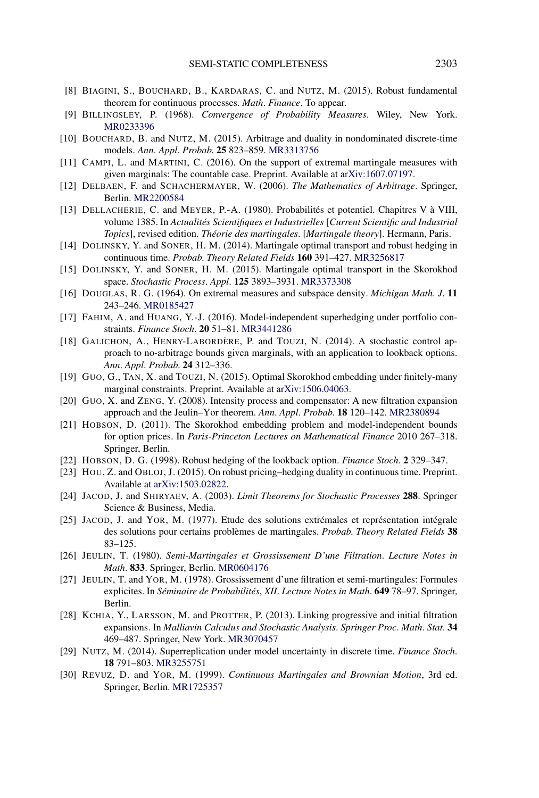- <span id="page-34-0"></span>[8] BIAGINI, S., BOUCHARD, B., KARDARAS, C. and NUTZ, M. (2015). Robust fundamental theorem for continuous processes. *Math*. *Finance*. To appear.
- [9] BILLINGSLEY, P. (1968). *Convergence of Probability Measures*. Wiley, New York. [MR0233396](http://www.ams.org/mathscinet-getitem?mr=0233396)
- [10] BOUCHARD, B. and NUTZ, M. (2015). Arbitrage and duality in nondominated discrete-time models. *Ann*. *Appl*. *Probab*. **25** 823–859. [MR3313756](http://www.ams.org/mathscinet-getitem?mr=3313756)
- [11] CAMPI, L. and MARTINI, C. (2016). On the support of extremal martingale measures with given marginals: The countable case. Preprint. Available at [arXiv:1607.07197](http://arxiv.org/abs/arXiv:1607.07197).
- [12] DELBAEN, F. and SCHACHERMAYER, W. (2006). *The Mathematics of Arbitrage*. Springer, Berlin. [MR2200584](http://www.ams.org/mathscinet-getitem?mr=2200584)
- [13] DELLACHERIE, C. and MEYER, P.-A. (1980). Probabilités et potentiel. Chapitres V à VIII, volume 1385. In *Actualités Scientifiques et Industrielles* [*Current Scientific and Industrial Topics*], revised edition. *Théorie des martingales*. [*Martingale theory*]. Hermann, Paris.
- [14] DOLINSKY, Y. and SONER, H. M. (2014). Martingale optimal transport and robust hedging in continuous time. *Probab*. *Theory Related Fields* **160** 391–427. [MR3256817](http://www.ams.org/mathscinet-getitem?mr=3256817)
- [15] DOLINSKY, Y. and SONER, H. M. (2015). Martingale optimal transport in the Skorokhod space. *Stochastic Process*. *Appl*. **125** 3893–3931. [MR3373308](http://www.ams.org/mathscinet-getitem?mr=3373308)
- [16] DOUGLAS, R. G. (1964). On extremal measures and subspace density. *Michigan Math*. *J*. **11** 243–246. [MR0185427](http://www.ams.org/mathscinet-getitem?mr=0185427)
- [17] FAHIM, A. and HUANG, Y.-J. (2016). Model-independent superhedging under portfolio constraints. *Finance Stoch*. **20** 51–81. [MR3441286](http://www.ams.org/mathscinet-getitem?mr=3441286)
- [18] GALICHON, A., HENRY-LABORDÈRE, P. and TOUZI, N. (2014). A stochastic control approach to no-arbitrage bounds given marginals, with an application to lookback options. *Ann*. *Appl*. *Probab*. **24** 312–336.
- [19] GUO, G., TAN, X. and TOUZI, N. (2015). Optimal Skorokhod embedding under finitely-many marginal constraints. Preprint. Available at [arXiv:1506.04063.](http://arxiv.org/abs/arXiv:1506.04063)
- [20] GUO, X. and ZENG, Y. (2008). Intensity process and compensator: A new filtration expansion approach and the Jeulin–Yor theorem. *Ann*. *Appl*. *Probab*. **18** 120–142. [MR2380894](http://www.ams.org/mathscinet-getitem?mr=2380894)
- [21] HOBSON, D. (2011). The Skorokhod embedding problem and model-independent bounds for option prices. In *Paris-Princeton Lectures on Mathematical Finance* 2010 267–318. Springer, Berlin.
- [22] HOBSON, D. G. (1998). Robust hedging of the lookback option. *Finance Stoch*. **2** 329–347.
- [23] HOU, Z. and OBLOJ, J. (2015). On robust pricing–hedging duality in continuous time. Preprint. Available at [arXiv:1503.02822](http://arxiv.org/abs/arXiv:1503.02822).
- [24] JACOD, J. and SHIRYAEV, A. (2003). *Limit Theorems for Stochastic Processes* **288**. Springer Science & Business, Media.
- [25] JACOD, J. and YOR, M. (1977). Etude des solutions extrémales et représentation intégrale des solutions pour certains problèmes de martingales. *Probab*. *Theory Related Fields* **38** 83–125.
- [26] JEULIN, T. (1980). *Semi-Martingales et Grossissement D'une Filtration*. *Lecture Notes in Math*. **833**. Springer, Berlin. [MR0604176](http://www.ams.org/mathscinet-getitem?mr=0604176)
- [27] JEULIN, T. and YOR, M. (1978). Grossissement d'une filtration et semi-martingales: Formules explicites. In *Séminaire de Probabilités*, *XII*. *Lecture Notes in Math*. **649** 78–97. Springer, Berlin.
- [28] KCHIA, Y., LARSSON, M. and PROTTER, P. (2013). Linking progressive and initial filtration expansions. In *Malliavin Calculus and Stochastic Analysis*. *Springer Proc*. *Math*. *Stat*. **34** 469–487. Springer, New York. [MR3070457](http://www.ams.org/mathscinet-getitem?mr=3070457)
- [29] NUTZ, M. (2014). Superreplication under model uncertainty in discrete time. *Finance Stoch*. **18** 791–803. [MR3255751](http://www.ams.org/mathscinet-getitem?mr=3255751)
- [30] REVUZ, D. and YOR, M. (1999). *Continuous Martingales and Brownian Motion*, 3rd ed. Springer, Berlin. [MR1725357](http://www.ams.org/mathscinet-getitem?mr=1725357)